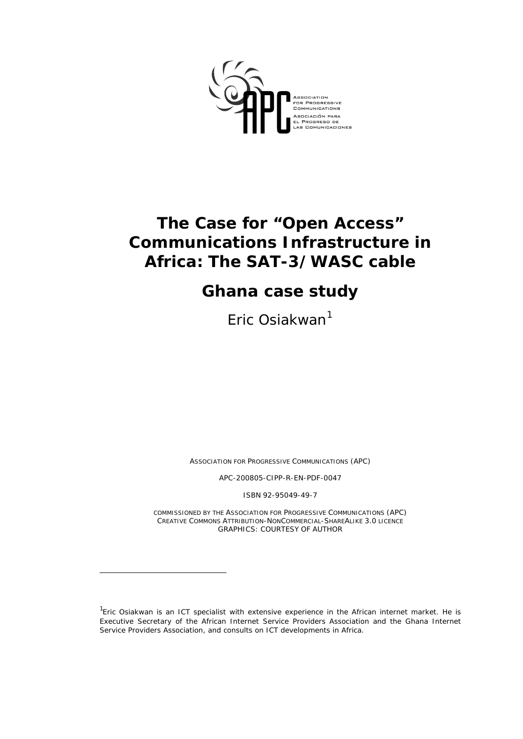

# **The Case for "Open Access" Communications Infrastructure in Africa: The SAT-3/WASC cable**

# **Ghana case study**

Eric Osiakwan<sup>[1](#page-0-0)</sup>

*ASSOCIATION FOR PROGRESSIVE COMMUNICATIONS (APC)* 

*APC-200805-CIPP-R-EN-PDF-0047* 

*ISBN 92-95049-49-7* 

*COMMISSIONED BY THE ASSOCIATION FOR PROGRESSIVE COMMUNICATIONS (APC) CREATIVE COMMONS ATTRIBUTION-NONCOMMERCIAL-SHAREALIKE 3.0 LICENCE GRAPHICS: COURTESY OF AUTHOR* 

<span id="page-0-0"></span><sup>&</sup>lt;sup>1</sup>Eric Osiakwan is an ICT specialist with extensive experience in the African internet market. He is Executive Secretary of the African Internet Service Providers Association and the Ghana Internet Service Providers Association, and consults on ICT developments in Africa.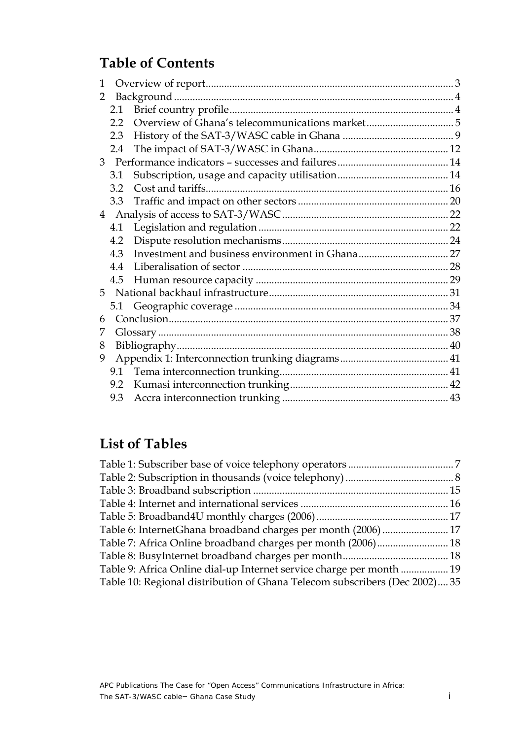# **Table of Contents**

| $\mathbf{1}$   |         |  |
|----------------|---------|--|
| 2              |         |  |
|                |         |  |
|                | $2.2\,$ |  |
|                | 2.3     |  |
|                | 2.4     |  |
| 3 <sup>1</sup> |         |  |
|                | 3.1     |  |
|                | 3.2     |  |
|                | 3.3     |  |
| $\overline{4}$ |         |  |
|                | 4.1     |  |
|                | 4.2     |  |
|                | 4.3     |  |
|                | 4.4     |  |
|                | 4.5     |  |
| 5              |         |  |
|                | 5.1     |  |
| 6              |         |  |
| 7              |         |  |
| 8              |         |  |
| 9              |         |  |
|                | 9.1     |  |
|                | 9.2     |  |
|                | 9.3     |  |
|                |         |  |

## **List of Tables**

| Table 6: InternetGhana broadband charges per month (2006)  17              |  |
|----------------------------------------------------------------------------|--|
| Table 7: Africa Online broadband charges per month (2006) 18               |  |
|                                                                            |  |
| Table 9: Africa Online dial-up Internet service charge per month  19       |  |
| Table 10: Regional distribution of Ghana Telecom subscribers (Dec 2002) 35 |  |
|                                                                            |  |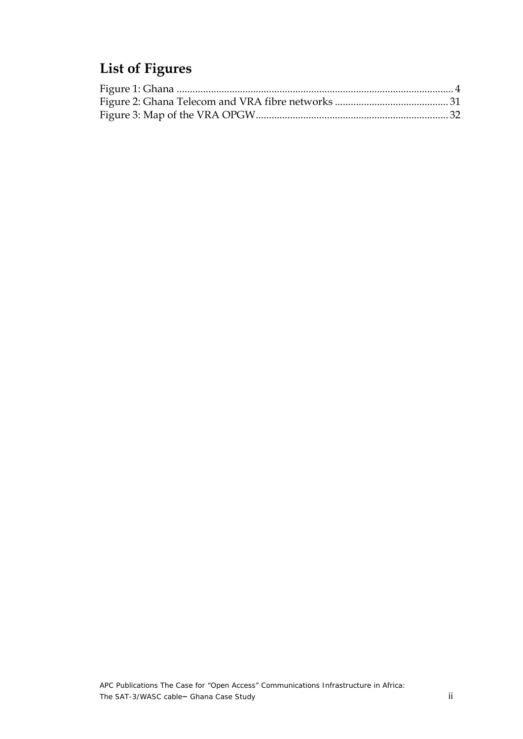# **List of Figures**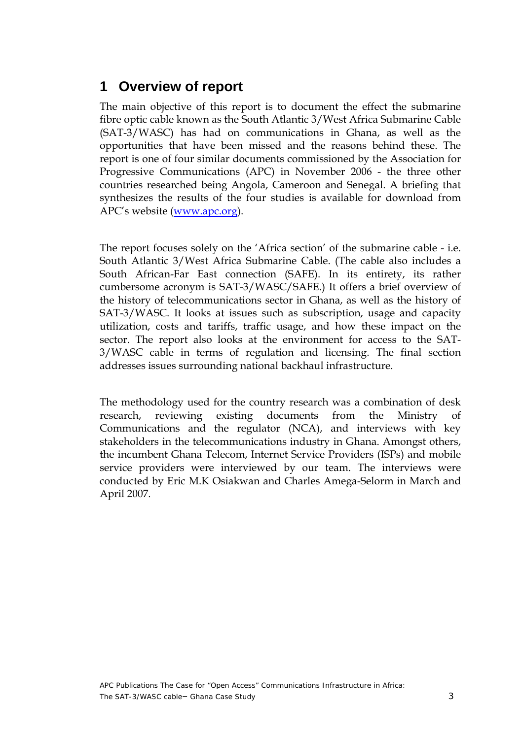### <span id="page-3-0"></span>**1 Overview of report**

The main objective of this report is to document the effect the submarine fibre optic cable known as the South Atlantic 3/West Africa Submarine Cable (SAT-3/WASC) has had on communications in Ghana, as well as the opportunities that have been missed and the reasons behind these. The report is one of four similar documents commissioned by the Association for Progressive Communications (APC) in November 2006 - the three other countries researched being Angola, Cameroon and Senegal. A briefing that synthesizes the results of the four studies is available for download from APC's website ([www.apc.org](http://www.apc.org)).

The report focuses solely on the 'Africa section' of the submarine cable - i.e. South Atlantic 3/West Africa Submarine Cable. (The cable also includes a South African-Far East connection (SAFE). In its entirety, its rather cumbersome acronym is SAT-3/WASC/SAFE.) It offers a brief overview of the history of telecommunications sector in Ghana, as well as the history of SAT-3/WASC. It looks at issues such as subscription, usage and capacity utilization, costs and tariffs, traffic usage, and how these impact on the sector. The report also looks at the environment for access to the SAT-3/WASC cable in terms of regulation and licensing. The final section addresses issues surrounding national backhaul infrastructure.

The methodology used for the country research was a combination of desk research, reviewing existing documents from the Ministry of Communications and the regulator (NCA), and interviews with key stakeholders in the telecommunications industry in Ghana. Amongst others, the incumbent Ghana Telecom, Internet Service Providers (ISPs) and mobile service providers were interviewed by our team. The interviews were conducted by Eric M.K Osiakwan and Charles Amega-Selorm in March and April 2007.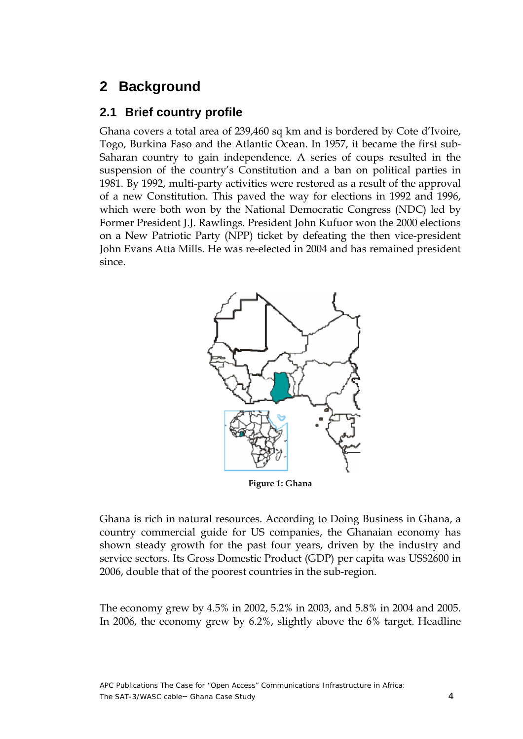### <span id="page-4-0"></span>**2 Background**

### **2.1 Brief country profile**

Ghana covers a total area of 239,460 sq km and is bordered by Cote d'Ivoire, Togo, Burkina Faso and the Atlantic Ocean. In 1957, it became the first sub-Saharan country to gain independence. A series of coups resulted in the suspension of the country's Constitution and a ban on political parties in 1981. By 1992, multi-party activities were restored as a result of the approval of a new Constitution. This paved the way for elections in 1992 and 1996, which were both won by the National Democratic Congress (NDC) led by Former President J.J. Rawlings. President John Kufuor won the 2000 elections on a New Patriotic Party (NPP) ticket by defeating the then vice-president John Evans Atta Mills. He was re-elected in 2004 and has remained president since.



**Figure 1: Ghana** 

Ghana is rich in natural resources. According to Doing Business in Ghana, a country commercial guide for US companies, the Ghanaian economy has shown steady growth for the past four years, driven by the industry and service sectors. Its Gross Domestic Product (GDP) per capita was US\$2600 in 2006, double that of the poorest countries in the sub-region.

The economy grew by 4.5% in 2002, 5.2% in 2003, and 5.8% in 2004 and 2005. In 2006, the economy grew by 6.2%, slightly above the 6% target. Headline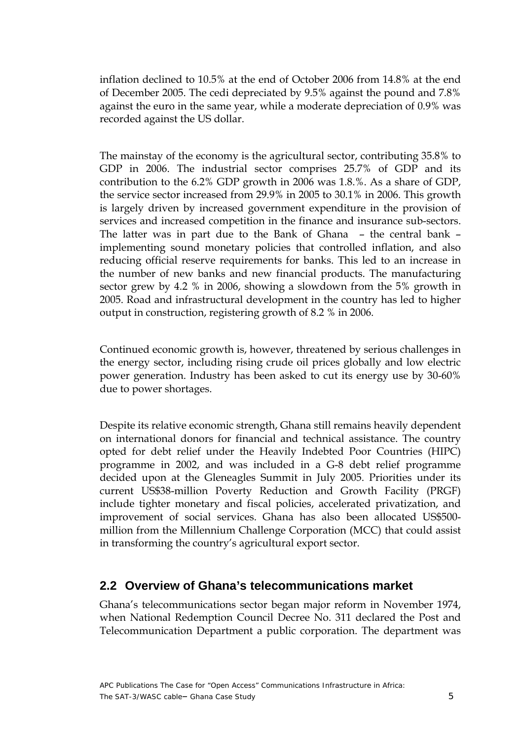<span id="page-5-0"></span>inflation declined to 10.5% at the end of October 2006 from 14.8% at the end of December 2005. The cedi depreciated by 9.5% against the pound and 7.8% against the euro in the same year, while a moderate depreciation of 0.9% was recorded against the US dollar.

The mainstay of the economy is the agricultural sector, contributing 35.8% to GDP in 2006. The industrial sector comprises 25.7% of GDP and its contribution to the 6.2% GDP growth in 2006 was 1.8.%. As a share of GDP, the service sector increased from 29.9% in 2005 to 30.1% in 2006. This growth is largely driven by increased government expenditure in the provision of services and increased competition in the finance and insurance sub-sectors. The latter was in part due to the Bank of Ghana – the central bank – implementing sound monetary policies that controlled inflation, and also reducing official reserve requirements for banks. This led to an increase in the number of new banks and new financial products. The manufacturing sector grew by 4.2 % in 2006, showing a slowdown from the 5% growth in 2005. Road and infrastructural development in the country has led to higher output in construction, registering growth of 8.2 % in 2006.

Continued economic growth is, however, threatened by serious challenges in the energy sector, including rising crude oil prices globally and low electric power generation. Industry has been asked to cut its energy use by 30-60% due to power shortages.

Despite its relative economic strength, Ghana still remains heavily dependent on international donors for financial and technical assistance. The country opted for debt relief under the Heavily Indebted Poor Countries (HIPC) programme in 2002, and was included in a G-8 debt relief programme decided upon at the Gleneagles Summit in July 2005. Priorities under its current US\$38-million Poverty Reduction and Growth Facility (PRGF) include tighter monetary and fiscal policies, accelerated privatization, and improvement of social services. Ghana has also been allocated US\$500 million from the Millennium Challenge Corporation (MCC) that could assist in transforming the country's agricultural export sector.

### **2.2 Overview of Ghana's telecommunications market**

Ghana's telecommunications sector began major reform in November 1974, when National Redemption Council Decree No. 311 declared the Post and Telecommunication Department a public corporation. The department was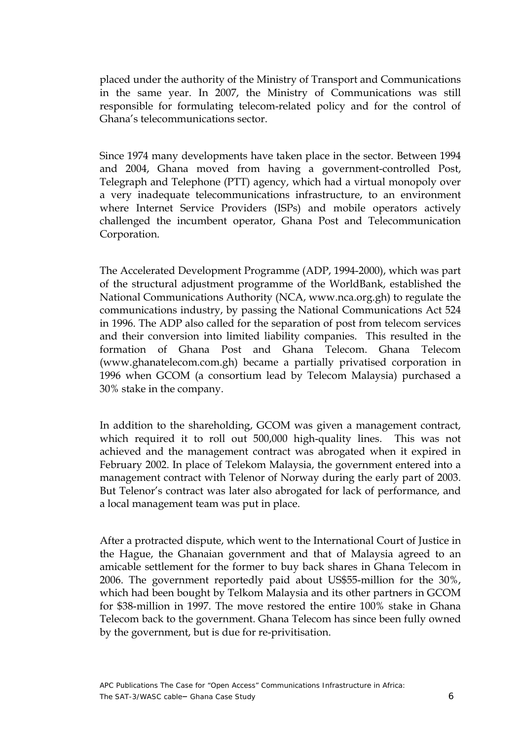placed under the authority of the Ministry of Transport and Communications in the same year. In 2007, the Ministry of Communications was still responsible for formulating telecom-related policy and for the control of Ghana's telecommunications sector.

Since 1974 many developments have taken place in the sector. Between 1994 and 2004, Ghana moved from having a government-controlled Post, Telegraph and Telephone (PTT) agency, which had a virtual monopoly over a very inadequate telecommunications infrastructure, to an environment where Internet Service Providers (ISPs) and mobile operators actively challenged the incumbent operator, Ghana Post and Telecommunication Corporation.

The Accelerated Development Programme (ADP, 1994-2000), which was part of the structural adjustment programme of the WorldBank, established the National Communications Authority (NCA, www.nca.org.gh) to regulate the communications industry, by passing the National Communications Act 524 in 1996. The ADP also called for the separation of post from telecom services and their conversion into limited liability companies. This resulted in the formation of Ghana Post and Ghana Telecom. Ghana Telecom (www.ghanatelecom.com.gh) became a partially privatised corporation in 1996 when GCOM (a consortium lead by Telecom Malaysia) purchased a 30% stake in the company.

In addition to the shareholding, GCOM was given a management contract, which required it to roll out 500,000 high-quality lines. This was not achieved and the management contract was abrogated when it expired in February 2002. In place of Telekom Malaysia, the government entered into a management contract with Telenor of Norway during the early part of 2003. But Telenor's contract was later also abrogated for lack of performance, and a local management team was put in place.

After a protracted dispute, which went to the International Court of Justice in the Hague, the Ghanaian government and that of Malaysia agreed to an amicable settlement for the former to buy back shares in Ghana Telecom in 2006. The government reportedly paid about US\$55-million for the 30%, which had been bought by Telkom Malaysia and its other partners in GCOM for \$38-million in 1997. The move restored the entire 100% stake in Ghana Telecom back to the government. Ghana Telecom has since been fully owned by the government, but is due for re-privitisation.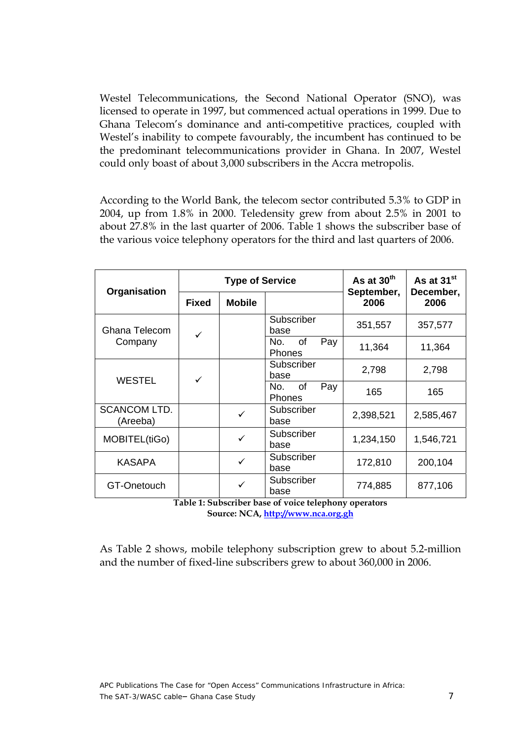<span id="page-7-0"></span>Westel Telecommunications, the Second National Operator (SNO), was licensed to operate in 1997, but commenced actual operations in 1999. Due to Ghana Telecom's dominance and anti-competitive practices, coupled with Westel's inability to compete favourably, the incumbent has continued to be the predominant telecommunications provider in Ghana. In 2007, Westel could only boast of about 3,000 subscribers in the Accra metropolis.

According to the World Bank, the telecom sector contributed 5.3% to GDP in 2004, up from 1.8% in 2000. Teledensity grew from about 2.5% in 2001 to about 27.8% in the last quarter of 2006. Table 1 shows the subscriber base of the various voice telephony operators for the third and last quarters of 2006.

| Organisation                    |                    | <b>Type of Service</b> |                                          | As at $30th$<br>September, | As at 31 <sup>st</sup><br>December, |  |
|---------------------------------|--------------------|------------------------|------------------------------------------|----------------------------|-------------------------------------|--|
|                                 | <b>Fixed</b>       | <b>Mobile</b>          |                                          | 2006                       | 2006                                |  |
| Ghana Telecom                   | ✓                  |                        | Subscriber<br>base                       | 351,557                    | 357,577                             |  |
| Company                         |                    |                        | Pay<br>0f<br>No.<br><b>Phones</b>        | 11,364                     | 11,364                              |  |
| <b>WESTEL</b>                   | ✓                  |                        | Subscriber<br>base                       | 2,798                      | 2,798                               |  |
|                                 |                    |                        | <b>of</b><br>Pay<br>No.<br><b>Phones</b> | 165                        | 165                                 |  |
| <b>SCANCOM LTD.</b><br>(Areeba) |                    | ✓                      | Subscriber<br>base                       | 2,398,521                  | 2,585,467                           |  |
| MOBITEL(tiGo)                   |                    | ✓                      | Subscriber<br>base                       | 1,234,150                  | 1,546,721                           |  |
| <b>KASAPA</b>                   |                    | ✓                      | Subscriber<br>base                       | 172,810                    | 200,104                             |  |
| GT-Onetouch                     | Subscriber<br>base |                        | 774,885                                  | 877,106                    |                                     |  |

**Table 1: Subscriber base of voice telephony operators Source: NCA,<http://www.nca.org.gh>** 

As Table 2 shows, mobile telephony subscription grew to about 5.2-million and the number of fixed-line subscribers grew to about 360,000 in 2006.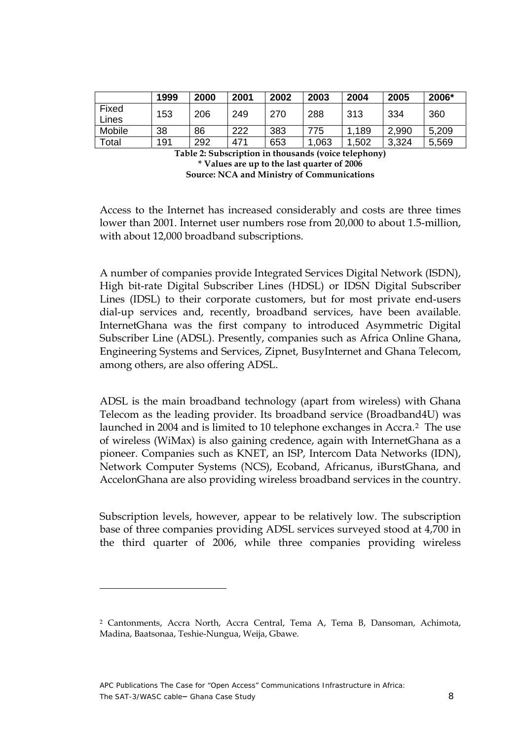<span id="page-8-0"></span>

|                  | 1999 | 2000 | 2001 | 2002 | 2003 | 2004  | 2005  | 2006* |
|------------------|------|------|------|------|------|-------|-------|-------|
| Fixed<br>Lines   | 153  | 206  | 249  | 270  | 288  | 313   | 334   | 360   |
| Mobile           | 38   | 86   | 222  | 383  | 775  | 1,189 | 2,990 | 5,209 |
| $\mathsf{Total}$ | 191  | 292  | 471  | 653  | ,063 | .502  | 3,324 | 5,569 |

**Table 2: Subscription in thousands (voice telephony) \* Values are up to the last quarter of 2006 Source: NCA and Ministry of Communications** 

Access to the Internet has increased considerably and costs are three times lower than 2001. Internet user numbers rose from 20,000 to about 1.5-million, with about 12,000 broadband subscriptions.

A number of companies provide Integrated Services Digital Network (ISDN), High bit-rate Digital Subscriber Lines (HDSL) or IDSN Digital Subscriber Lines (IDSL) to their corporate customers, but for most private end-users dial-up services and, recently, broadband services, have been available. InternetGhana was the first company to introduced Asymmetric Digital Subscriber Line (ADSL). Presently, companies such as Africa Online Ghana, Engineering Systems and Services, Zipnet, BusyInternet and Ghana Telecom, among others, are also offering ADSL.

ADSL is the main broadband technology (apart from wireless) with Ghana Telecom as the leading provider. Its broadband service (Broadband4U) was launched in 2004 and is limited to 10 telephone exchanges in Accra.[2](#page-8-1) The use of wireless (WiMax) is also gaining credence, again with InternetGhana as a pioneer. Companies such as KNET, an ISP, Intercom Data Networks (IDN), Network Computer Systems (NCS), Ecoband, Africanus, iBurstGhana, and AccelonGhana are also providing wireless broadband services in the country.

Subscription levels, however, appear to be relatively low. The subscription base of three companies providing ADSL services surveyed stood at 4,700 in the third quarter of 2006, while three companies providing wireless

<span id="page-8-1"></span><sup>2</sup> Cantonments, Accra North, Accra Central, Tema A, Tema B, Dansoman, Achimota, Madina, Baatsonaa, Teshie-Nungua, Weija, Gbawe.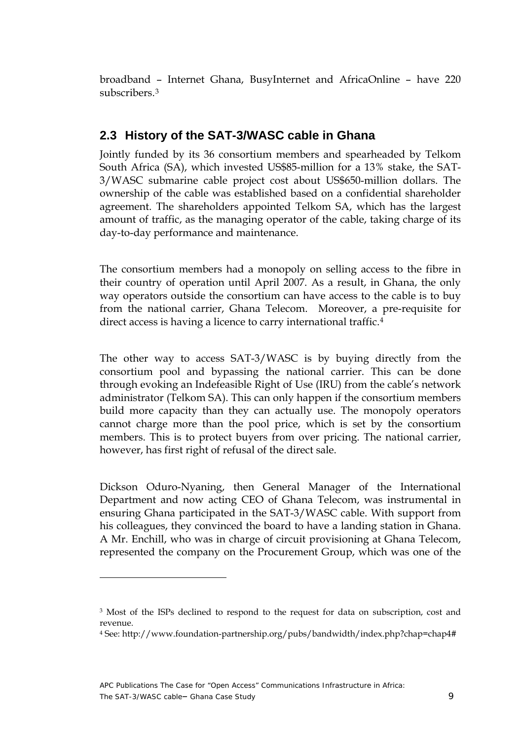<span id="page-9-0"></span>broadband – Internet Ghana, BusyInternet and AfricaOnline – have 220 subscribers.[3](#page-9-1)

#### **2.3 History of the SAT-3/WASC cable in Ghana**

Jointly funded by its 36 consortium members and spearheaded by Telkom South Africa (SA), which invested US\$85-million for a 13% stake, the SAT-3/WASC submarine cable project cost about US\$650-million dollars. The ownership of the cable was established based on a confidential shareholder agreement. The shareholders appointed Telkom SA, which has the largest amount of traffic, as the managing operator of the cable, taking charge of its day-to-day performance and maintenance.

The consortium members had a monopoly on selling access to the fibre in their country of operation until April 2007. As a result, in Ghana, the only way operators outside the consortium can have access to the cable is to buy from the national carrier, Ghana Telecom. Moreover, a pre-requisite for direct access is having a licence to carry international traffic.<sup>[4](#page-9-2)</sup>

The other way to access SAT-3/WASC is by buying directly from the consortium pool and bypassing the national carrier. This can be done through evoking an Indefeasible Right of Use (IRU) from the cable's network administrator (Telkom SA). This can only happen if the consortium members build more capacity than they can actually use. The monopoly operators cannot charge more than the pool price, which is set by the consortium members. This is to protect buyers from over pricing. The national carrier, however, has first right of refusal of the direct sale.

Dickson Oduro-Nyaning, then General Manager of the International Department and now acting CEO of Ghana Telecom, was instrumental in ensuring Ghana participated in the SAT-3/WASC cable. With support from his colleagues, they convinced the board to have a landing station in Ghana. A Mr. Enchill, who was in charge of circuit provisioning at Ghana Telecom, represented the company on the Procurement Group, which was one of the

<span id="page-9-1"></span><sup>&</sup>lt;sup>3</sup> Most of the ISPs declined to respond to the request for data on subscription, cost and revenue.

<span id="page-9-2"></span><sup>4</sup> See: http://www.foundation-partnership.org/pubs/bandwidth/index.php?chap=chap4#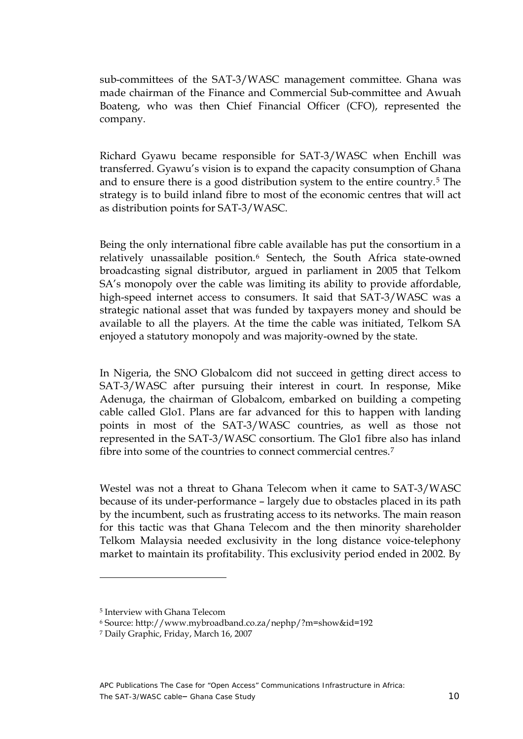sub-committees of the SAT-3/WASC management committee. Ghana was made chairman of the Finance and Commercial Sub-committee and Awuah Boateng, who was then Chief Financial Officer (CFO), represented the company.

Richard Gyawu became responsible for SAT-3/WASC when Enchill was transferred. Gyawu's vision is to expand the capacity consumption of Ghana and to ensure there is a good distribution system to the entire country.[5](#page-10-0) The strategy is to build inland fibre to most of the economic centres that will act as distribution points for SAT-3/WASC.

Being the only international fibre cable available has put the consortium in a relatively unassailable position.<sup>[6](#page-10-1)</sup> Sentech, the South Africa state-owned broadcasting signal distributor, argued in parliament in 2005 that Telkom SA's monopoly over the cable was limiting its ability to provide affordable, high-speed internet access to consumers. It said that SAT-3/WASC was a strategic national asset that was funded by taxpayers money and should be available to all the players. At the time the cable was initiated, Telkom SA enjoyed a statutory monopoly and was majority-owned by the state.

In Nigeria, the SNO Globalcom did not succeed in getting direct access to SAT-3/WASC after pursuing their interest in court. In response, Mike Adenuga, the chairman of Globalcom, embarked on building a competing cable called Glo1. Plans are far advanced for this to happen with landing points in most of the SAT-3/WASC countries, as well as those not represented in the SAT-3/WASC consortium. The Glo1 fibre also has inland fibre into some of the countries to connect commercial centres.<sup>[7](#page-10-2)</sup>

Westel was not a threat to Ghana Telecom when it came to SAT-3/WASC because of its under-performance – largely due to obstacles placed in its path by the incumbent, such as frustrating access to its networks. The main reason for this tactic was that Ghana Telecom and the then minority shareholder Telkom Malaysia needed exclusivity in the long distance voice-telephony market to maintain its profitability. This exclusivity period ended in 2002. By

<span id="page-10-0"></span><sup>5</sup> Interview with Ghana Telecom

<sup>6</sup> Source: http://www.mybroadband.co.za/nephp/?m=show&id=192

<span id="page-10-2"></span><span id="page-10-1"></span><sup>7</sup> Daily Graphic, Friday, March 16, 2007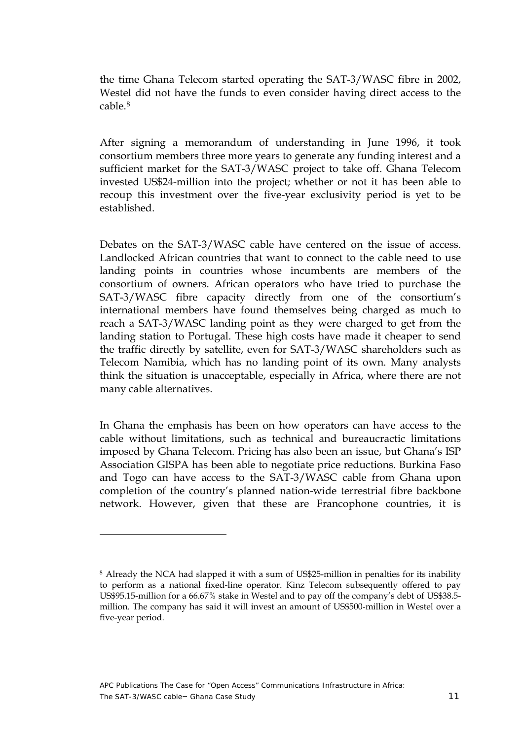the time Ghana Telecom started operating the SAT-3/WASC fibre in 2002, Westel did not have the funds to even consider having direct access to the cable.[8](#page-11-0)

After signing a memorandum of understanding in June 1996, it took consortium members three more years to generate any funding interest and a sufficient market for the SAT-3/WASC project to take off. Ghana Telecom invested US\$24-million into the project; whether or not it has been able to recoup this investment over the five-year exclusivity period is yet to be established.

Debates on the SAT-3/WASC cable have centered on the issue of access. Landlocked African countries that want to connect to the cable need to use landing points in countries whose incumbents are members of the consortium of owners. African operators who have tried to purchase the SAT-3/WASC fibre capacity directly from one of the consortium's international members have found themselves being charged as much to reach a SAT-3/WASC landing point as they were charged to get from the landing station to Portugal. These high costs have made it cheaper to send the traffic directly by satellite, even for SAT-3/WASC shareholders such as Telecom Namibia, which has no landing point of its own. Many analysts think the situation is unacceptable, especially in Africa, where there are not many cable alternatives.

In Ghana the emphasis has been on how operators can have access to the cable without limitations, such as technical and bureaucractic limitations imposed by Ghana Telecom. Pricing has also been an issue, but Ghana's ISP Association GISPA has been able to negotiate price reductions. Burkina Faso and Togo can have access to the SAT-3/WASC cable from Ghana upon completion of the country's planned nation-wide terrestrial fibre backbone network. However, given that these are Francophone countries, it is

<span id="page-11-0"></span><sup>8</sup> Already the NCA had slapped it with a sum of US\$25-million in penalties for its inability to perform as a national fixed-line operator. Kinz Telecom subsequently offered to pay US\$95.15-million for a 66.67% stake in Westel and to pay off the company's debt of US\$38.5 million. The company has said it will invest an amount of US\$500-million in Westel over a five-year period.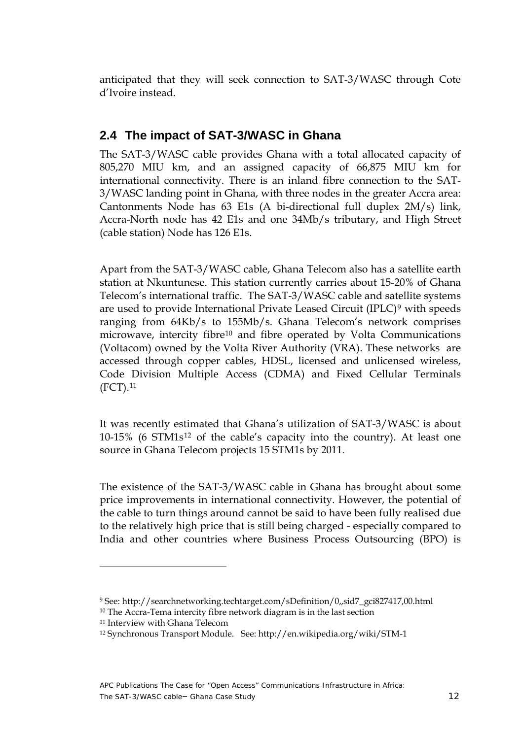<span id="page-12-0"></span>anticipated that they will seek connection to SAT-3/WASC through Cote d'Ivoire instead.

### **2.4 The impact of SAT-3/WASC in Ghana**

The SAT-3/WASC cable provides Ghana with a total allocated capacity of 805,270 MIU km, and an assigned capacity of 66,875 MIU km for international connectivity. There is an inland fibre connection to the SAT-3/WASC landing point in Ghana, with three nodes in the greater Accra area: Cantonments Node has 63 E1s (A bi-directional full duplex 2M/s) link, Accra-North node has 42 E1s and one 34Mb/s tributary, and High Street (cable station) Node has 126 E1s.

Apart from the SAT-3/WASC cable, Ghana Telecom also has a satellite earth station at Nkuntunese. This station currently carries about 15-20% of Ghana Telecom's international traffic. The SAT-3/WASC cable and satellite systems are used to provide International Private Leased Circuit (IPLC)[9](#page-12-1) with speeds ranging from 64Kb/s to 155Mb/s. Ghana Telecom's network comprises microwave, intercity fibre<sup>[10](#page-12-2)</sup> and fibre operated by Volta Communications (Voltacom) owned by the Volta River Authority (VRA). These networks are accessed through copper cables, HDSL, licensed and unlicensed wireless, Code Division Multiple Access (CDMA) and Fixed Cellular Terminals (FCT)[.11](#page-12-3)

It was recently estimated that Ghana's utilization of SAT-3/WASC is about 10-15% (6 STM1s[12](#page-12-4) of the cable's capacity into the country). At least one source in Ghana Telecom projects 15 STM1s by 2011.

The existence of the SAT-3/WASC cable in Ghana has brought about some price improvements in international connectivity. However, the potential of the cable to turn things around cannot be said to have been fully realised due to the relatively high price that is still being charged - especially compared to India and other countries where Business Process Outsourcing (BPO) is

<span id="page-12-1"></span><sup>9</sup> See: http://searchnetworking.techtarget.com/sDefinition/0,,sid7\_gci827417,00.html 10 The Accra-Tema intercity fibre network diagram is in the last section

<span id="page-12-2"></span><sup>11</sup> Interview with Ghana Telecom

<span id="page-12-4"></span><span id="page-12-3"></span><sup>12</sup> Synchronous Transport Module. See: http://en.wikipedia.org/wiki/STM-1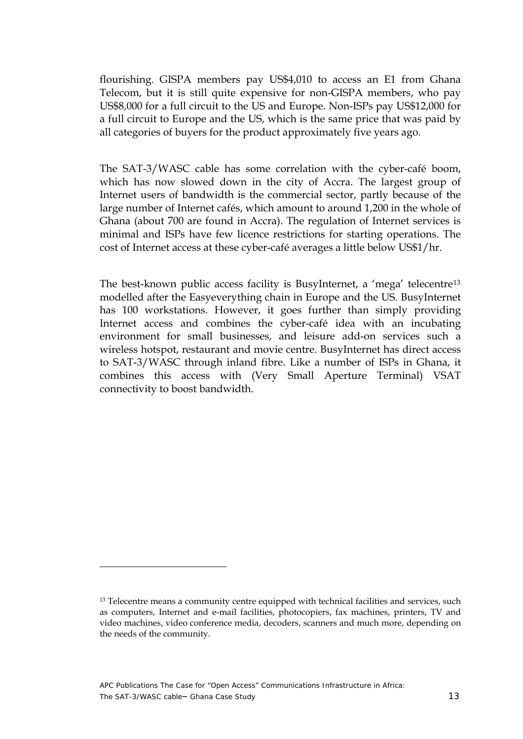flourishing. GISPA members pay US\$4,010 to access an E1 from Ghana Telecom, but it is still quite expensive for non-GISPA members, who pay US\$8,000 for a full circuit to the US and Europe. Non-ISPs pay US\$12,000 for a full circuit to Europe and the US, which is the same price that was paid by all categories of buyers for the product approximately five years ago.

The SAT-3/WASC cable has some correlation with the cyber-café boom, which has now slowed down in the city of Accra. The largest group of Internet users of bandwidth is the commercial sector, partly because of the large number of Internet cafés, which amount to around 1,200 in the whole of Ghana (about 700 are found in Accra). The regulation of Internet services is minimal and ISPs have few licence restrictions for starting operations. The cost of Internet access at these cyber-café averages a little below US\$1/hr.

The best-known public access facility is BusyInternet, a 'mega' telecentre<sup>[13](#page-13-0)</sup> modelled after the Easyeverything chain in Europe and the US. BusyInternet has 100 workstations. However, it goes further than simply providing Internet access and combines the cyber-café idea with an incubating environment for small businesses, and leisure add-on services such a wireless hotspot, restaurant and movie centre. BusyInternet has direct access to SAT-3/WASC through inland fibre. Like a number of ISPs in Ghana, it combines this access with (Very Small Aperture Terminal) VSAT connectivity to boost bandwidth.

<span id="page-13-0"></span><sup>&</sup>lt;sup>13</sup> Telecentre means a community centre equipped with technical facilities and services, such as computers, Internet and e-mail facilities, photocopiers, fax machines, printers, TV and video machines, video conference media, decoders, scanners and much more, depending on the needs of the community.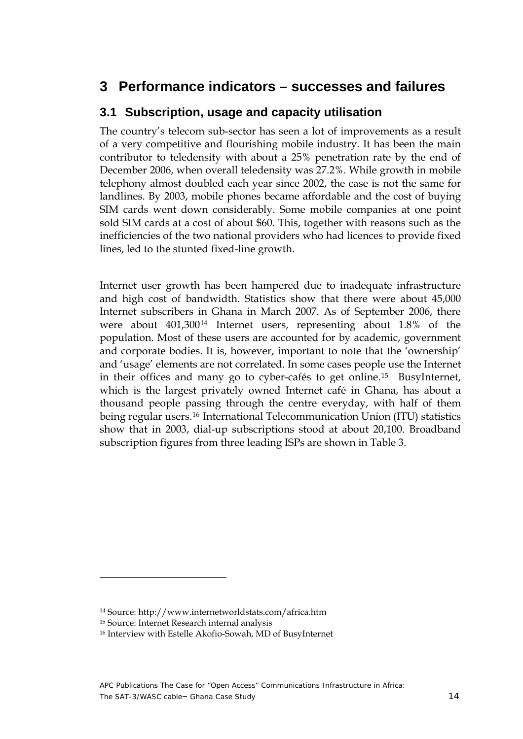### <span id="page-14-0"></span>**3 Performance indicators – successes and failures**

### **3.1 Subscription, usage and capacity utilisation**

The country's telecom sub-sector has seen a lot of improvements as a result of a very competitive and flourishing mobile industry. It has been the main contributor to teledensity with about a 25% penetration rate by the end of December 2006, when overall teledensity was 27.2%. While growth in mobile telephony almost doubled each year since 2002, the case is not the same for landlines. By 2003, mobile phones became affordable and the cost of buying SIM cards went down considerably. Some mobile companies at one point sold SIM cards at a cost of about \$60. This, together with reasons such as the inefficiencies of the two national providers who had licences to provide fixed lines, led to the stunted fixed-line growth.

Internet user growth has been hampered due to inadequate infrastructure and high cost of bandwidth. Statistics show that there were about 45,000 Internet subscribers in Ghana in March 2007. As of September 2006, there were about 401,300[14](#page-14-1) Internet users, representing about 1.8% of the population. Most of these users are accounted for by academic, government and corporate bodies. It is, however, important to note that the 'ownership' and 'usage' elements are not correlated. In some cases people use the Internet in their offices and many go to cyber-cafés to get online.[15](#page-14-2) BusyInternet, which is the largest privately owned Internet café in Ghana, has about a thousand people passing through the centre everyday, with half of them being regular users.[16](#page-14-3) International Telecommunication Union (ITU) statistics show that in 2003, dial-up subscriptions stood at about 20,100. Broadband subscription figures from three leading ISPs are shown in Table 3.

<span id="page-14-1"></span><sup>14</sup> Source: http://www.internetworldstats.com/africa.htm

<span id="page-14-2"></span><sup>15</sup> Source: Internet Research internal analysis

<span id="page-14-3"></span><sup>16</sup> Interview with Estelle Akofio-Sowah, MD of BusyInternet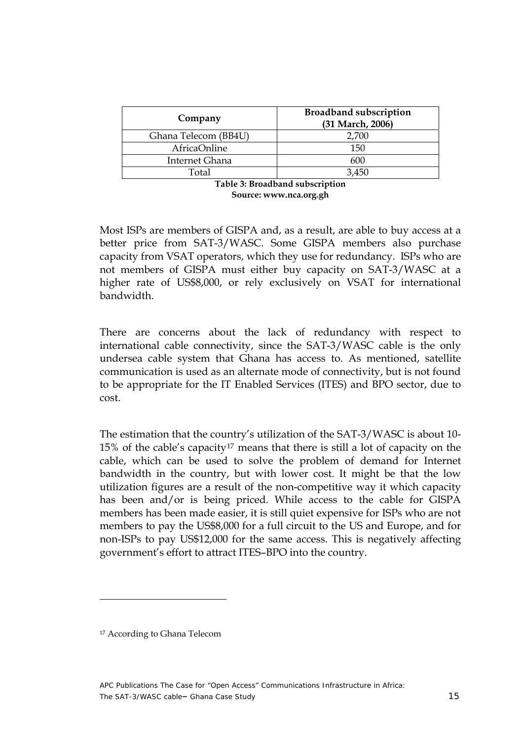<span id="page-15-0"></span>

| Company               | <b>Broadband subscription</b><br>(31 March, 2006) |
|-----------------------|---------------------------------------------------|
| Ghana Telecom (BB4U)  | 2,700                                             |
| <b>AfricaOnline</b>   | 150                                               |
| <b>Internet Ghana</b> | 600                                               |
| Total                 | 3,450                                             |
|                       | Table 3: Broadband subscription                   |

**Table 3: Broadband subscription Source: [www.nca.org.gh](http://www.nca.org.gh)**

Most ISPs are members of GISPA and, as a result, are able to buy access at a better price from SAT-3/WASC. Some GISPA members also purchase capacity from VSAT operators, which they use for redundancy. ISPs who are not members of GISPA must either buy capacity on SAT-3/WASC at a higher rate of US\$8,000, or rely exclusively on VSAT for international bandwidth.

There are concerns about the lack of redundancy with respect to international cable connectivity, since the SAT-3/WASC cable is the only undersea cable system that Ghana has access to. As mentioned, satellite communication is used as an alternate mode of connectivity, but is not found to be appropriate for the IT Enabled Services (ITES) and BPO sector, due to cost.

The estimation that the country's utilization of the SAT-3/WASC is about 10- 15% of the cable's capacity<sup>[17](#page-15-1)</sup> means that there is still a lot of capacity on the cable, which can be used to solve the problem of demand for Internet bandwidth in the country, but with lower cost. It might be that the low utilization figures are a result of the non-competitive way it which capacity has been and/or is being priced. While access to the cable for GISPA members has been made easier, it is still quiet expensive for ISPs who are not members to pay the US\$8,000 for a full circuit to the US and Europe, and for non-ISPs to pay US\$12,000 for the same access. This is negatively affecting government's effort to attract ITES–BPO into the country.

<span id="page-15-1"></span><sup>&</sup>lt;sup>17</sup> According to Ghana Telecom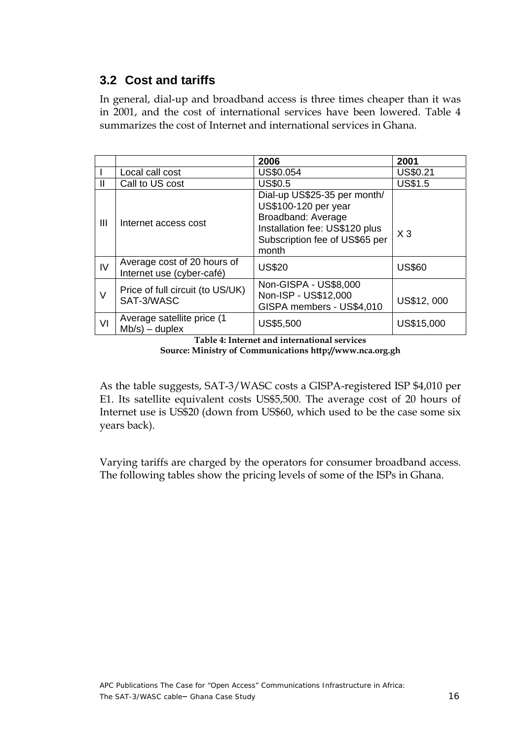### <span id="page-16-0"></span>**3.2 Cost and tariffs**

In general, dial-up and broadband access is three times cheaper than it was in 2001, and the cost of international services have been lowered. Table 4 summarizes the cost of Internet and international services in Ghana.

|                |                                                          | 2006                                                                                                                                                    | 2001           |
|----------------|----------------------------------------------------------|---------------------------------------------------------------------------------------------------------------------------------------------------------|----------------|
|                | Local call cost                                          | US\$0.054                                                                                                                                               | US\$0.21       |
| Ш              | Call to US cost                                          | <b>US\$0.5</b>                                                                                                                                          | <b>US\$1.5</b> |
| $\mathbf{III}$ | Internet access cost                                     | Dial-up US\$25-35 per month/<br>US\$100-120 per year<br>Broadband: Average<br>Installation fee: US\$120 plus<br>Subscription fee of US\$65 per<br>month | $X_3$          |
| IV             | Average cost of 20 hours of<br>Internet use (cyber-café) | <b>US\$20</b>                                                                                                                                           | <b>US\$60</b>  |
| $\vee$         | Price of full circuit (to US/UK)<br>SAT-3/WASC           | Non-GISPA - US\$8,000<br>Non-ISP - US\$12,000<br>GISPA members - US\$4,010                                                                              | US\$12,000     |
| VI             | Average satellite price (1<br>$Mb/s) - duplex$           | US\$5,500                                                                                                                                               | US\$15,000     |

**Table 4: Internet and international services Source: Ministry of Communications <http://www.nca.org.gh>**

As the table suggests, SAT-3/WASC costs a GISPA-registered ISP \$4,010 per E1. Its satellite equivalent costs US\$5,500. The average cost of 20 hours of Internet use is US\$20 (down from US\$60, which used to be the case some six years back).

Varying tariffs are charged by the operators for consumer broadband access. The following tables show the pricing levels of some of the ISPs in Ghana.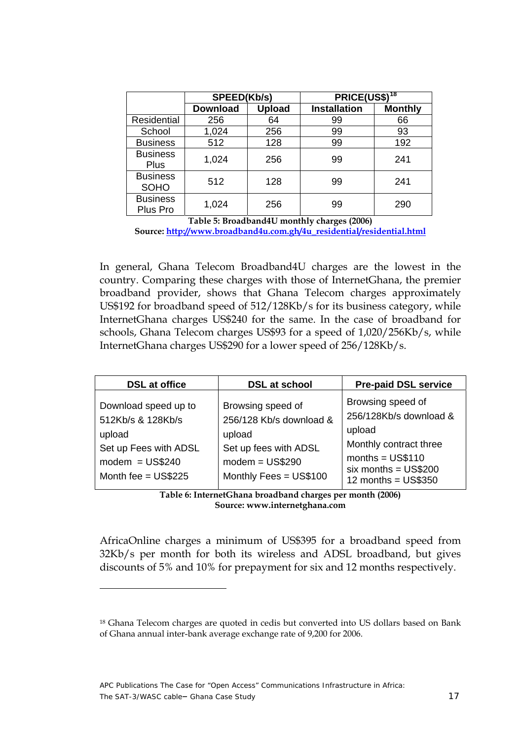<span id="page-17-0"></span>

|                                | SPEED(Kb/s)     |               | PRICE(US\$) <sup>18</sup> |                |
|--------------------------------|-----------------|---------------|---------------------------|----------------|
|                                | <b>Download</b> | <b>Upload</b> | <b>Installation</b>       | <b>Monthly</b> |
| Residential                    | 256             | 64            | 99                        | 66             |
| School                         | 1,024           | 256           | 99                        | 93             |
| <b>Business</b>                | 512             | 128           | 99                        | 192            |
| <b>Business</b><br><b>Plus</b> | 1,024           | 256           | 99                        | 241            |
| <b>Business</b><br><b>SOHO</b> | 512             | 128           | 99                        | 241            |
| <b>Business</b><br>Plus Pro    | 1,024           | 256           | 99                        | 290            |

**Table 5: Broadband4U monthly charges (2006) Source: [http://www.broadband4u.com.gh/4u\\_residential/residential.html](http://www.broadband4u.com.gh/4u_residential/residential.html)**

In general, Ghana Telecom Broadband4U charges are the lowest in the country. Comparing these charges with those of InternetGhana, the premier broadband provider, shows that Ghana Telecom charges approximately US\$192 for broadband speed of 512/128Kb/s for its business category, while InternetGhana charges US\$240 for the same. In the case of broadband for schools, Ghana Telecom charges US\$93 for a speed of 1,020/256Kb/s, while InternetGhana charges US\$290 for a lower speed of 256/128Kb/s.

| <b>DSL</b> at office                                                                                                      | <b>DSL at school</b>                                                                                                           | <b>Pre-paid DSL service</b>                                                                                                                             |
|---------------------------------------------------------------------------------------------------------------------------|--------------------------------------------------------------------------------------------------------------------------------|---------------------------------------------------------------------------------------------------------------------------------------------------------|
| Download speed up to<br>512Kb/s & 128Kb/s<br>upload<br>Set up Fees with ADSL<br>$modern = US$240$<br>Month fee = $US$225$ | Browsing speed of<br>256/128 Kb/s download &<br>upload<br>Set up fees with ADSL<br>$modern = US$290$<br>Monthly Fees = US\$100 | Browsing speed of<br>256/128Kb/s download &<br>upload<br>Monthly contract three<br>months = $US$110$<br>$six$ months = $US$200$<br>12 months = $US$350$ |

**Table 6: InternetGhana broadband charges per month (2006) Source: www.internetghana.com** 

AfricaOnline charges a minimum of US\$395 for a broadband speed from 32Kb/s per month for both its wireless and ADSL broadband, but gives discounts of 5% and 10% for prepayment for six and 12 months respectively.

<span id="page-17-1"></span><sup>18</sup> Ghana Telecom charges are quoted in cedis but converted into US dollars based on Bank of Ghana annual inter-bank average exchange rate of 9,200 for 2006.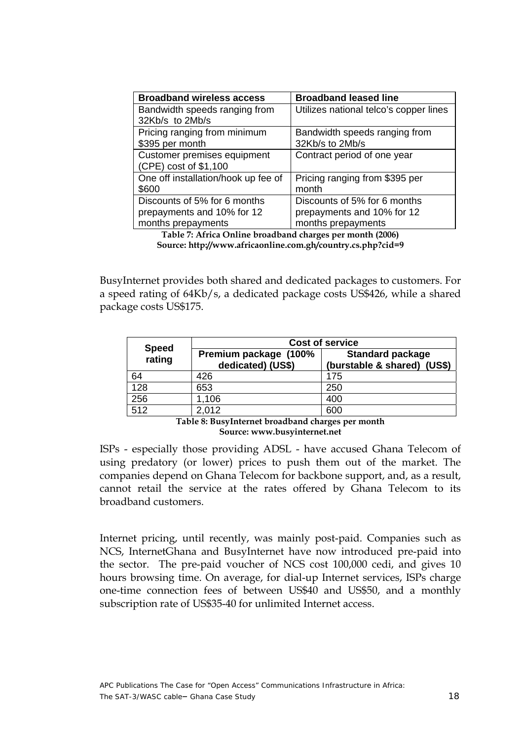<span id="page-18-0"></span>

| <b>Broadband wireless access</b>    | <b>Broadband leased line</b>           |
|-------------------------------------|----------------------------------------|
| Bandwidth speeds ranging from       | Utilizes national telco's copper lines |
| 32Kb/s to 2Mb/s                     |                                        |
| Pricing ranging from minimum        | Bandwidth speeds ranging from          |
| \$395 per month                     | 32Kb/s to 2Mb/s                        |
| Customer premises equipment         | Contract period of one year            |
| (CPE) cost of \$1,100               |                                        |
| One off installation/hook up fee of | Pricing ranging from \$395 per         |
| \$600                               | month                                  |
| Discounts of 5% for 6 months        | Discounts of 5% for 6 months           |
| prepayments and 10% for 12          | prepayments and 10% for 12             |
| months prepayments                  | months prepayments                     |

**Table 7: Africa Online broadband charges per month (2006) Source: http://www.africaonline.com.gh/country.cs.php?cid=9** 

BusyInternet provides both shared and dedicated packages to customers. For a speed rating of 64Kb/s, a dedicated package costs US\$426, while a shared package costs US\$175.

|                        | <b>Cost of service</b>                     |                                                        |  |  |  |
|------------------------|--------------------------------------------|--------------------------------------------------------|--|--|--|
| <b>Speed</b><br>rating | Premium package (100%<br>dedicated) (US\$) | <b>Standard package</b><br>(burstable & shared) (US\$) |  |  |  |
| 64                     | 426                                        | 175                                                    |  |  |  |
| 128                    | 653                                        | 250                                                    |  |  |  |
| 256                    | 1,106                                      | 400                                                    |  |  |  |
| 512                    | 2,012                                      | 600                                                    |  |  |  |

**Table 8: BusyInternet broadband charges per month Source: www.busyinternet.net** 

ISPs - especially those providing ADSL - have accused Ghana Telecom of using predatory (or lower) prices to push them out of the market. The companies depend on Ghana Telecom for backbone support, and, as a result, cannot retail the service at the rates offered by Ghana Telecom to its broadband customers.

Internet pricing, until recently, was mainly post-paid. Companies such as NCS, InternetGhana and BusyInternet have now introduced pre-paid into the sector. The pre-paid voucher of NCS cost 100,000 cedi, and gives 10 hours browsing time. On average, for dial-up Internet services, ISPs charge one-time connection fees of between US\$40 and US\$50, and a monthly subscription rate of US\$35-40 for unlimited Internet access.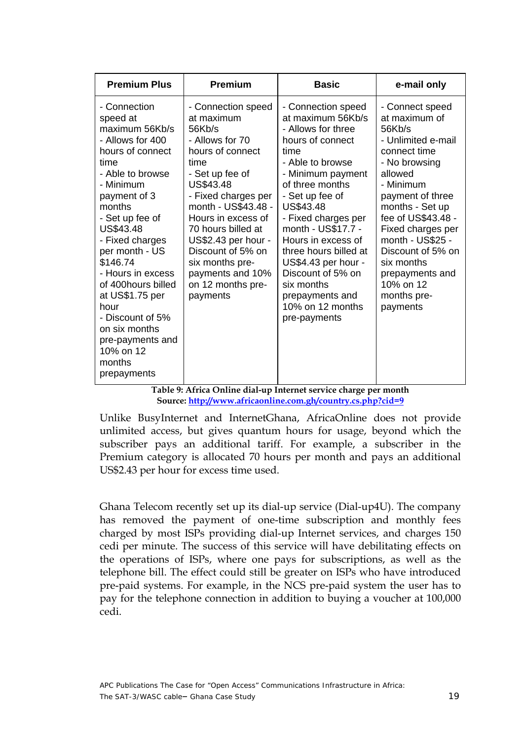<span id="page-19-0"></span>

| <b>Premium Plus</b>                                                                                                                                                                                                                                                                                                                                                                                         | <b>Premium</b>                                                                                                                                                                                                                                                                                                                          | <b>Basic</b>                                                                                                                                                                                                                                                                                                                                                                                       | e-mail only                                                                                                                                                                                                                                                                                                                   |
|-------------------------------------------------------------------------------------------------------------------------------------------------------------------------------------------------------------------------------------------------------------------------------------------------------------------------------------------------------------------------------------------------------------|-----------------------------------------------------------------------------------------------------------------------------------------------------------------------------------------------------------------------------------------------------------------------------------------------------------------------------------------|----------------------------------------------------------------------------------------------------------------------------------------------------------------------------------------------------------------------------------------------------------------------------------------------------------------------------------------------------------------------------------------------------|-------------------------------------------------------------------------------------------------------------------------------------------------------------------------------------------------------------------------------------------------------------------------------------------------------------------------------|
| - Connection<br>speed at<br>maximum 56Kb/s<br>- Allows for 400<br>hours of connect<br>time<br>- Able to browse<br>- Minimum<br>payment of 3<br>months<br>- Set up fee of<br>US\$43.48<br>- Fixed charges<br>per month - US<br>\$146.74<br>- Hours in excess<br>of 400hours billed<br>at US\$1.75 per<br>hour<br>- Discount of 5%<br>on six months<br>pre-payments and<br>10% on 12<br>months<br>prepayments | - Connection speed<br>at maximum<br>56Kb/s<br>- Allows for 70<br>hours of connect<br>time<br>- Set up fee of<br>US\$43.48<br>- Fixed charges per<br>month - US\$43.48 -<br>Hours in excess of<br>70 hours billed at<br>US\$2.43 per hour -<br>Discount of 5% on<br>six months pre-<br>payments and 10%<br>on 12 months pre-<br>payments | - Connection speed<br>at maximum 56Kb/s<br>- Allows for three<br>hours of connect<br>time<br>- Able to browse<br>- Minimum payment<br>of three months<br>- Set up fee of<br>US\$43.48<br>- Fixed charges per<br>month - US\$17.7 -<br>Hours in excess of<br>three hours billed at<br>US\$4.43 per hour -<br>Discount of 5% on<br>six months<br>prepayments and<br>10% on 12 months<br>pre-payments | - Connect speed<br>at maximum of<br>56Kb/s<br>- Unlimited e-mail<br>connect time<br>- No browsing<br>allowed<br>- Minimum<br>payment of three<br>months - Set up<br>fee of US\$43.48 -<br>Fixed charges per<br>month - US\$25 -<br>Discount of 5% on<br>six months<br>prepayments and<br>10% on 12<br>months pre-<br>payments |

**Table 9: Africa Online dial-up Internet service charge per month Source: <http://www.africaonline.com.gh/country.cs.php?cid=9>** 

Unlike BusyInternet and InternetGhana, AfricaOnline does not provide unlimited access, but gives quantum hours for usage, beyond which the subscriber pays an additional tariff. For example, a subscriber in the Premium category is allocated 70 hours per month and pays an additional US\$2.43 per hour for excess time used.

Ghana Telecom recently set up its dial-up service (Dial-up4U). The company has removed the payment of one-time subscription and monthly fees charged by most ISPs providing dial-up Internet services, and charges 150 cedi per minute. The success of this service will have debilitating effects on the operations of ISPs, where one pays for subscriptions, as well as the telephone bill. The effect could still be greater on ISPs who have introduced pre-paid systems. For example, in the NCS pre-paid system the user has to pay for the telephone connection in addition to buying a voucher at 100,000 cedi.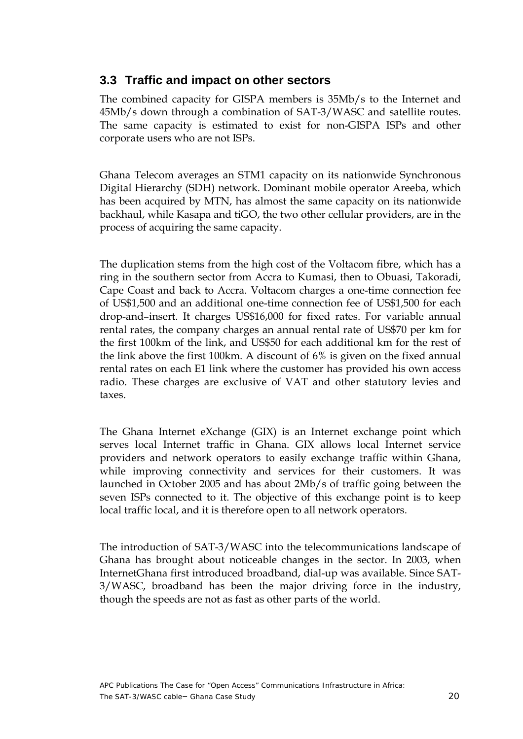### <span id="page-20-0"></span>**3.3 Traffic and impact on other sectors**

The combined capacity for GISPA members is 35Mb/s to the Internet and 45Mb/s down through a combination of SAT-3/WASC and satellite routes. The same capacity is estimated to exist for non-GISPA ISPs and other corporate users who are not ISPs.

Ghana Telecom averages an STM1 capacity on its nationwide Synchronous Digital Hierarchy (SDH) network. Dominant mobile operator Areeba, which has been acquired by MTN, has almost the same capacity on its nationwide backhaul, while Kasapa and tiGO, the two other cellular providers, are in the process of acquiring the same capacity.

The duplication stems from the high cost of the Voltacom fibre, which has a ring in the southern sector from Accra to Kumasi, then to Obuasi, Takoradi, Cape Coast and back to Accra. Voltacom charges a one-time connection fee of US\$1,500 and an additional one-time connection fee of US\$1,500 for each drop-and–insert. It charges US\$16,000 for fixed rates. For variable annual rental rates, the company charges an annual rental rate of US\$70 per km for the first 100km of the link, and US\$50 for each additional km for the rest of the link above the first 100km. A discount of 6% is given on the fixed annual rental rates on each E1 link where the customer has provided his own access radio. These charges are exclusive of VAT and other statutory levies and taxes.

The Ghana Internet eXchange (GIX) is an Internet exchange point which serves local Internet traffic in Ghana. GIX allows local Internet service providers and network operators to easily exchange traffic within Ghana, while improving connectivity and services for their customers. It was launched in October 2005 and has about 2Mb/s of traffic going between the seven ISPs connected to it. The objective of this exchange point is to keep local traffic local, and it is therefore open to all network operators.

The introduction of SAT-3/WASC into the telecommunications landscape of Ghana has brought about noticeable changes in the sector. In 2003, when InternetGhana first introduced broadband, dial-up was available. Since SAT-3/WASC, broadband has been the major driving force in the industry, though the speeds are not as fast as other parts of the world.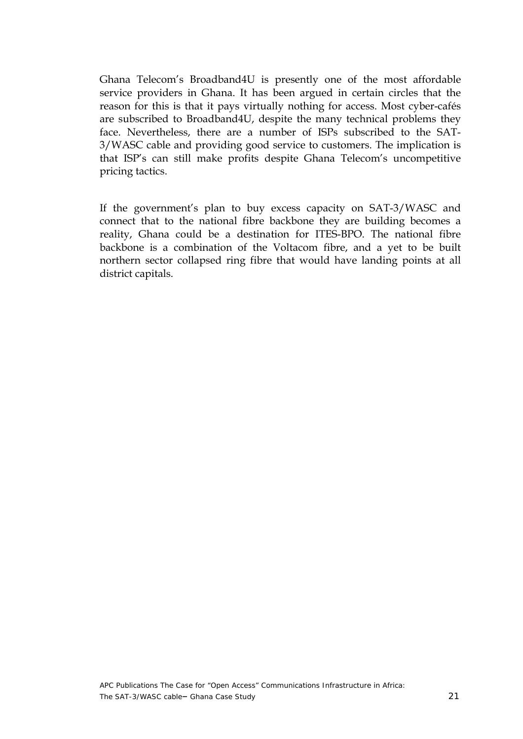Ghana Telecom's Broadband4U is presently one of the most affordable service providers in Ghana. It has been argued in certain circles that the reason for this is that it pays virtually nothing for access. Most cyber-cafés are subscribed to Broadband4U, despite the many technical problems they face. Nevertheless, there are a number of ISPs subscribed to the SAT-3/WASC cable and providing good service to customers. The implication is that ISP's can still make profits despite Ghana Telecom's uncompetitive pricing tactics.

If the government's plan to buy excess capacity on SAT-3/WASC and connect that to the national fibre backbone they are building becomes a reality, Ghana could be a destination for ITES-BPO. The national fibre backbone is a combination of the Voltacom fibre, and a yet to be built northern sector collapsed ring fibre that would have landing points at all district capitals.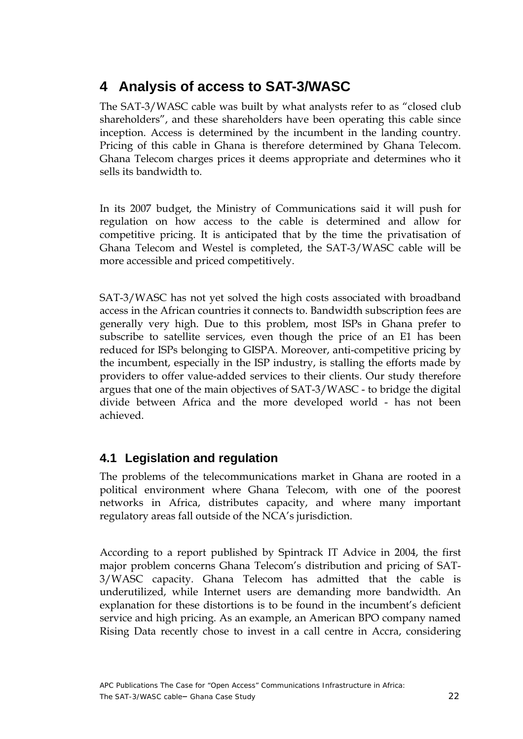### <span id="page-22-0"></span>**4 Analysis of access to SAT-3/WASC**

The SAT-3/WASC cable was built by what analysts refer to as "closed club shareholders", and these shareholders have been operating this cable since inception. Access is determined by the incumbent in the landing country. Pricing of this cable in Ghana is therefore determined by Ghana Telecom. Ghana Telecom charges prices it deems appropriate and determines who it sells its bandwidth to.

In its 2007 budget, the Ministry of Communications said it will push for regulation on how access to the cable is determined and allow for competitive pricing. It is anticipated that by the time the privatisation of Ghana Telecom and Westel is completed, the SAT-3/WASC cable will be more accessible and priced competitively.

SAT-3/WASC has not yet solved the high costs associated with broadband access in the African countries it connects to. Bandwidth subscription fees are generally very high. Due to this problem, most ISPs in Ghana prefer to subscribe to satellite services, even though the price of an E1 has been reduced for ISPs belonging to GISPA. Moreover, anti-competitive pricing by the incumbent, especially in the ISP industry, is stalling the efforts made by providers to offer value-added services to their clients. Our study therefore argues that one of the main objectives of SAT-3/WASC - to bridge the digital divide between Africa and the more developed world - has not been achieved.

### **4.1 Legislation and regulation**

The problems of the telecommunications market in Ghana are rooted in a political environment where Ghana Telecom, with one of the poorest networks in Africa, distributes capacity, and where many important regulatory areas fall outside of the NCA's jurisdiction.

According to a report published by Spintrack IT Advice in 2004, the first major problem concerns Ghana Telecom's distribution and pricing of SAT-3/WASC capacity. Ghana Telecom has admitted that the cable is underutilized, while Internet users are demanding more bandwidth. An explanation for these distortions is to be found in the incumbent's deficient service and high pricing. As an example, an American BPO company named Rising Data recently chose to invest in a call centre in Accra, considering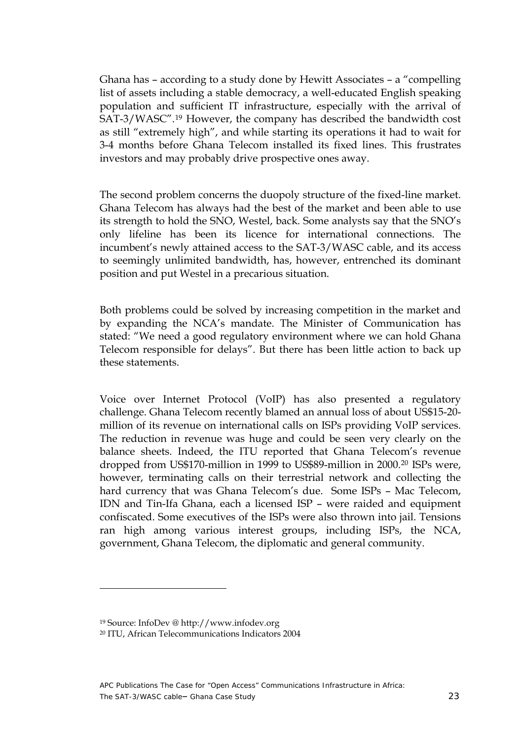Ghana has – according to a study done by Hewitt Associates – a "compelling list of assets including a stable democracy, a well-educated English speaking population and sufficient IT infrastructure, especially with the arrival of SAT-3/WASC".[19](#page-23-0) However, the company has described the bandwidth cost as still "extremely high", and while starting its operations it had to wait for 3-4 months before Ghana Telecom installed its fixed lines. This frustrates investors and may probably drive prospective ones away.

The second problem concerns the duopoly structure of the fixed-line market. Ghana Telecom has always had the best of the market and been able to use its strength to hold the SNO, Westel, back. Some analysts say that the SNO's only lifeline has been its licence for international connections. The incumbent's newly attained access to the SAT-3/WASC cable, and its access to seemingly unlimited bandwidth, has, however, entrenched its dominant position and put Westel in a precarious situation.

Both problems could be solved by increasing competition in the market and by expanding the NCA's mandate. The Minister of Communication has stated: "We need a good regulatory environment where we can hold Ghana Telecom responsible for delays". But there has been little action to back up these statements.

Voice over Internet Protocol (VoIP) has also presented a regulatory challenge. Ghana Telecom recently blamed an annual loss of about US\$15-20 million of its revenue on international calls on ISPs providing VoIP services. The reduction in revenue was huge and could be seen very clearly on the balance sheets. Indeed, the ITU reported that Ghana Telecom's revenue dropped from US\$170-million in 1999 to US\$89-million in 2000.[20](#page-23-1) ISPs were, however, terminating calls on their terrestrial network and collecting the hard currency that was Ghana Telecom's due. Some ISPs – Mac Telecom, IDN and Tin-Ifa Ghana, each a licensed ISP – were raided and equipment confiscated. Some executives of the ISPs were also thrown into jail. Tensions ran high among various interest groups, including ISPs, the NCA, government, Ghana Telecom, the diplomatic and general community.

<span id="page-23-0"></span><sup>19</sup> Source: InfoDev @ http://www.infodev.org

<span id="page-23-1"></span><sup>20</sup> ITU, African Telecommunications Indicators 2004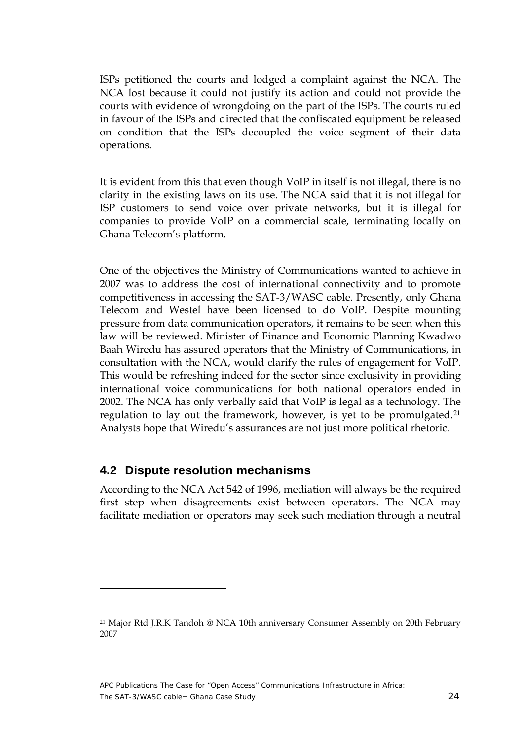<span id="page-24-0"></span>ISPs petitioned the courts and lodged a complaint against the NCA. The NCA lost because it could not justify its action and could not provide the courts with evidence of wrongdoing on the part of the ISPs. The courts ruled in favour of the ISPs and directed that the confiscated equipment be released on condition that the ISPs decoupled the voice segment of their data operations.

It is evident from this that even though VoIP in itself is not illegal, there is no clarity in the existing laws on its use. The NCA said that it is not illegal for ISP customers to send voice over private networks, but it is illegal for companies to provide VoIP on a commercial scale, terminating locally on Ghana Telecom's platform.

One of the objectives the Ministry of Communications wanted to achieve in 2007 was to address the cost of international connectivity and to promote competitiveness in accessing the SAT-3/WASC cable. Presently, only Ghana Telecom and Westel have been licensed to do VoIP. Despite mounting pressure from data communication operators, it remains to be seen when this law will be reviewed. Minister of Finance and Economic Planning Kwadwo Baah Wiredu has assured operators that the Ministry of Communications, in consultation with the NCA, would clarify the rules of engagement for VoIP. This would be refreshing indeed for the sector since exclusivity in providing international voice communications for both national operators ended in 2002. The NCA has only verbally said that VoIP is legal as a technology. The regulation to lay out the framework, however, is yet to be promulgated.<sup>[21](#page-24-1)</sup> Analysts hope that Wiredu's assurances are not just more political rhetoric.

#### **4.2 Dispute resolution mechanisms**

 $\overline{a}$ 

According to the NCA Act 542 of 1996, mediation will always be the required first step when disagreements exist between operators. The NCA may facilitate mediation or operators may seek such mediation through a neutral

<span id="page-24-1"></span><sup>21</sup> Major Rtd J.R.K Tandoh @ NCA 10th anniversary Consumer Assembly on 20th February 2007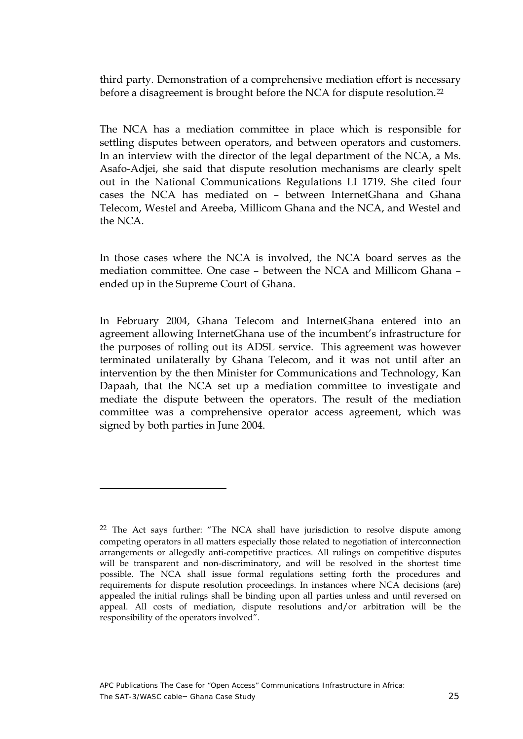third party. Demonstration of a comprehensive mediation effort is necessary before a disagreement is brought before the NCA for dispute resolution.<sup>[22](#page-25-0)</sup>

The NCA has a mediation committee in place which is responsible for settling disputes between operators, and between operators and customers. In an interview with the director of the legal department of the NCA, a Ms. Asafo-Adjei, she said that dispute resolution mechanisms are clearly spelt out in the National Communications Regulations LI 1719. She cited four cases the NCA has mediated on – between InternetGhana and Ghana Telecom, Westel and Areeba, Millicom Ghana and the NCA, and Westel and the NCA.

In those cases where the NCA is involved, the NCA board serves as the mediation committee. One case – between the NCA and Millicom Ghana – ended up in the Supreme Court of Ghana.

In February 2004, Ghana Telecom and InternetGhana entered into an agreement allowing InternetGhana use of the incumbent's infrastructure for the purposes of rolling out its ADSL service. This agreement was however terminated unilaterally by Ghana Telecom, and it was not until after an intervention by the then Minister for Communications and Technology, Kan Dapaah, that the NCA set up a mediation committee to investigate and mediate the dispute between the operators. The result of the mediation committee was a comprehensive operator access agreement, which was signed by both parties in June 2004.

<span id="page-25-0"></span><sup>&</sup>lt;sup>22</sup> The Act says further: "The NCA shall have jurisdiction to resolve dispute among competing operators in all matters especially those related to negotiation of interconnection arrangements or allegedly anti-competitive practices. All rulings on competitive disputes will be transparent and non-discriminatory, and will be resolved in the shortest time possible. The NCA shall issue formal regulations setting forth the procedures and requirements for dispute resolution proceedings. In instances where NCA decisions (are) appealed the initial rulings shall be binding upon all parties unless and until reversed on appeal. All costs of mediation, dispute resolutions and/or arbitration will be the responsibility of the operators involved".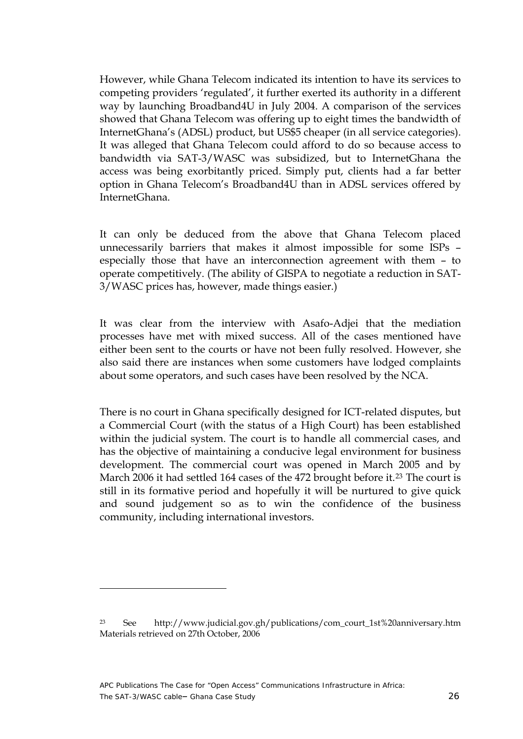However, while Ghana Telecom indicated its intention to have its services to competing providers 'regulated', it further exerted its authority in a different way by launching Broadband4U in July 2004. A comparison of the services showed that Ghana Telecom was offering up to eight times the bandwidth of InternetGhana's (ADSL) product, but US\$5 cheaper (in all service categories). It was alleged that Ghana Telecom could afford to do so because access to bandwidth via SAT-3/WASC was subsidized, but to InternetGhana the access was being exorbitantly priced. Simply put, clients had a far better option in Ghana Telecom's Broadband4U than in ADSL services offered by InternetGhana.

It can only be deduced from the above that Ghana Telecom placed unnecessarily barriers that makes it almost impossible for some ISPs – especially those that have an interconnection agreement with them – to operate competitively. (The ability of GISPA to negotiate a reduction in SAT-3/WASC prices has, however, made things easier.)

It was clear from the interview with Asafo-Adjei that the mediation processes have met with mixed success. All of the cases mentioned have either been sent to the courts or have not been fully resolved. However, she also said there are instances when some customers have lodged complaints about some operators, and such cases have been resolved by the NCA.

There is no court in Ghana specifically designed for ICT-related disputes, but a Commercial Court (with the status of a High Court) has been established within the judicial system. The court is to handle all commercial cases, and has the objective of maintaining a conducive legal environment for business development. The commercial court was opened in March 2005 and by March 2006 it had settled 164 cases of the 472 brought before it.<sup>[23](#page-26-0)</sup> The court is still in its formative period and hopefully it will be nurtured to give quick and sound judgement so as to win the confidence of the business community, including international investors.

<span id="page-26-0"></span><sup>23</sup> See http://www.judicial.gov.gh/publications/com\_court\_1st%20anniversary.htm Materials retrieved on 27th October, 2006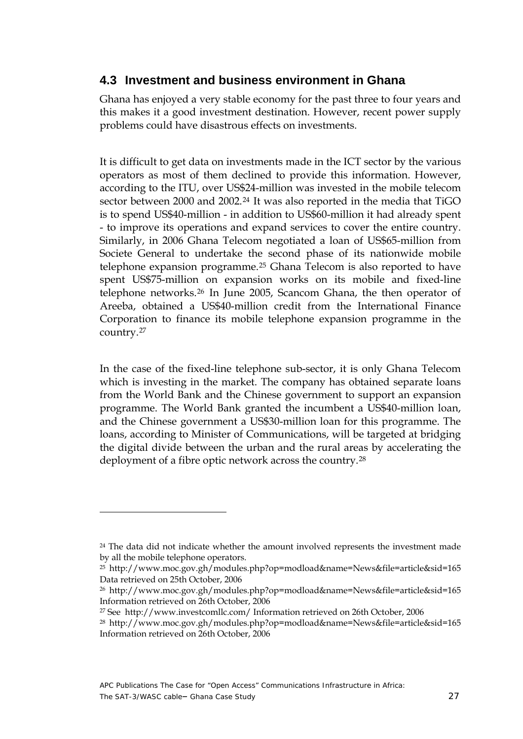#### <span id="page-27-0"></span>**4.3 Investment and business environment in Ghana**

Ghana has enjoyed a very stable economy for the past three to four years and this makes it a good investment destination. However, recent power supply problems could have disastrous effects on investments.

It is difficult to get data on investments made in the ICT sector by the various operators as most of them declined to provide this information. However, according to the ITU, over US\$24-million was invested in the mobile telecom sector between 2000 and 2002.<sup>[24](#page-27-1)</sup> It was also reported in the media that TiGO is to spend US\$40-million - in addition to US\$60-million it had already spent - to improve its operations and expand services to cover the entire country. Similarly, in 2006 Ghana Telecom negotiated a loan of US\$65-million from Societe General to undertake the second phase of its nationwide mobile telephone expansion programme.[25](#page-27-2) Ghana Telecom is also reported to have spent US\$75-million on expansion works on its mobile and fixed-line telephone networks.[26](#page-27-3) In June 2005, Scancom Ghana, the then operator of Areeba, obtained a US\$40-million credit from the International Finance Corporation to finance its mobile telephone expansion programme in the country.[27](#page-27-4)

In the case of the fixed-line telephone sub-sector, it is only Ghana Telecom which is investing in the market. The company has obtained separate loans from the World Bank and the Chinese government to support an expansion programme. The World Bank granted the incumbent a US\$40-million loan, and the Chinese government a US\$30-million loan for this programme. The loans, according to Minister of Communications, will be targeted at bridging the digital divide between the urban and the rural areas by accelerating the deployment of a fibre optic network across the country.[28](#page-27-5)

<span id="page-27-1"></span> $24$  The data did not indicate whether the amount involved represents the investment made by all the mobile telephone operators.

<span id="page-27-2"></span><sup>25</sup> http://www.moc.gov.gh/modules.php?op=modload&name=News&file=article&sid=165 Data retrieved on 25th October, 2006

<span id="page-27-3"></span><sup>26</sup> http://www.moc.gov.gh/modules.php?op=modload&name=News&file=article&sid=165 Information retrieved on 26th October, 2006

<span id="page-27-5"></span><span id="page-27-4"></span><sup>27</sup> See http://www.investcomllc.com/ Information retrieved on 26th October, 2006

<sup>28</sup> http://www.moc.gov.gh/modules.php?op=modload&name=News&file=article&sid=165 Information retrieved on 26th October, 2006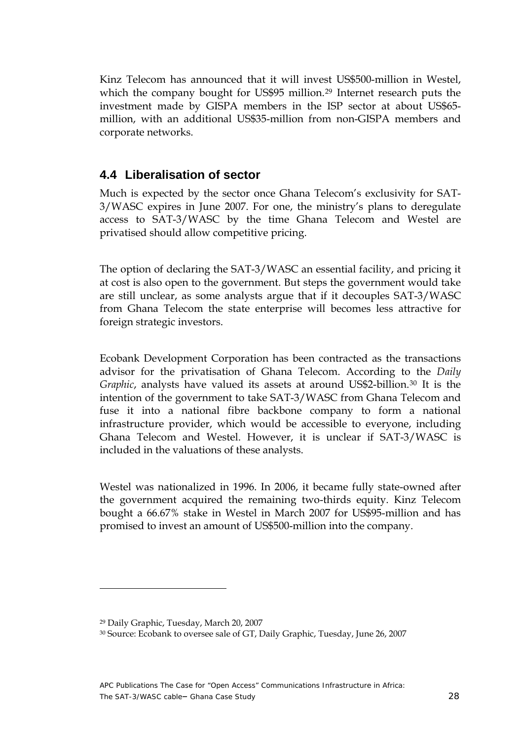<span id="page-28-0"></span>Kinz Telecom has announced that it will invest US\$500-million in Westel, which the company bought for US\$95 million.<sup>[29](#page-28-1)</sup> Internet research puts the investment made by GISPA members in the ISP sector at about US\$65 million, with an additional US\$35-million from non-GISPA members and corporate networks.

#### **4.4 Liberalisation of sector**

Much is expected by the sector once Ghana Telecom's exclusivity for SAT-3/WASC expires in June 2007. For one, the ministry's plans to deregulate access to SAT-3/WASC by the time Ghana Telecom and Westel are privatised should allow competitive pricing.

The option of declaring the SAT-3/WASC an essential facility, and pricing it at cost is also open to the government. But steps the government would take are still unclear, as some analysts argue that if it decouples SAT-3/WASC from Ghana Telecom the state enterprise will becomes less attractive for foreign strategic investors.

Ecobank Development Corporation has been contracted as the transactions advisor for the privatisation of Ghana Telecom. According to the *Daily Graphic*, analysts have valued its assets at around US\$2-billion.<sup>[30](#page-28-2)</sup> It is the intention of the government to take SAT-3/WASC from Ghana Telecom and fuse it into a national fibre backbone company to form a national infrastructure provider, which would be accessible to everyone, including Ghana Telecom and Westel. However, it is unclear if SAT-3/WASC is included in the valuations of these analysts.

Westel was nationalized in 1996. In 2006, it became fully state-owned after the government acquired the remaining two-thirds equity. Kinz Telecom bought a 66.67% stake in Westel in March 2007 for US\$95-million and has promised to invest an amount of US\$500-million into the company.

<sup>29</sup> Daily Graphic, Tuesday, March 20, 2007

<span id="page-28-2"></span><span id="page-28-1"></span><sup>30</sup> Source: Ecobank to oversee sale of GT, Daily Graphic, Tuesday, June 26, 2007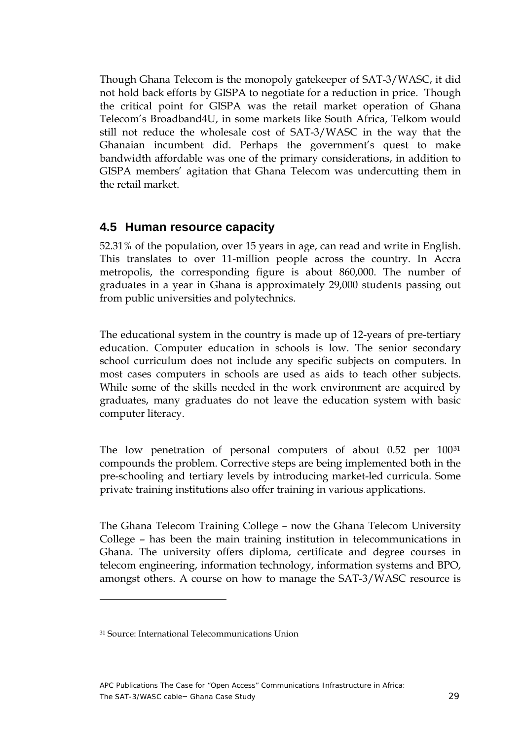<span id="page-29-0"></span>Though Ghana Telecom is the monopoly gatekeeper of SAT-3/WASC, it did not hold back efforts by GISPA to negotiate for a reduction in price. Though the critical point for GISPA was the retail market operation of Ghana Telecom's Broadband4U, in some markets like South Africa, Telkom would still not reduce the wholesale cost of SAT-3/WASC in the way that the Ghanaian incumbent did. Perhaps the government's quest to make bandwidth affordable was one of the primary considerations, in addition to GISPA members' agitation that Ghana Telecom was undercutting them in the retail market.

#### **4.5 Human resource capacity**

52.31% of the population, over 15 years in age, can read and write in English. This translates to over 11-million people across the country. In Accra metropolis, the corresponding figure is about 860,000. The number of graduates in a year in Ghana is approximately 29,000 students passing out from public universities and polytechnics.

The educational system in the country is made up of 12-years of pre-tertiary education. Computer education in schools is low. The senior secondary school curriculum does not include any specific subjects on computers. In most cases computers in schools are used as aids to teach other subjects. While some of the skills needed in the work environment are acquired by graduates, many graduates do not leave the education system with basic computer literacy.

The low penetration of personal computers of about 0.52 per 100<sup>[31](#page-29-1)</sup> compounds the problem. Corrective steps are being implemented both in the pre-schooling and tertiary levels by introducing market-led curricula. Some private training institutions also offer training in various applications.

The Ghana Telecom Training College – now the Ghana Telecom University College – has been the main training institution in telecommunications in Ghana. The university offers diploma, certificate and degree courses in telecom engineering, information technology, information systems and BPO, amongst others. A course on how to manage the SAT-3/WASC resource is

<span id="page-29-1"></span><sup>31</sup> Source: International Telecommunications Union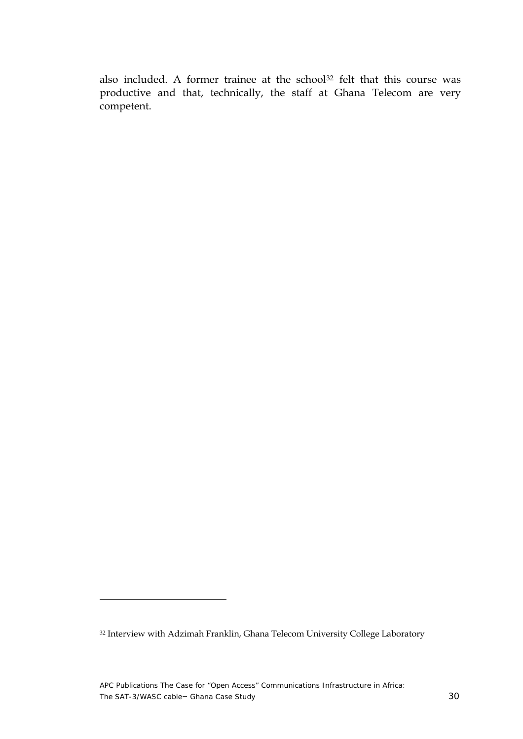also included. A former trainee at the school<sup>[32](#page-30-0)</sup> felt that this course was productive and that, technically, the staff at Ghana Telecom are very competent.

<span id="page-30-0"></span><sup>32</sup> Interview with Adzimah Franklin, Ghana Telecom University College Laboratory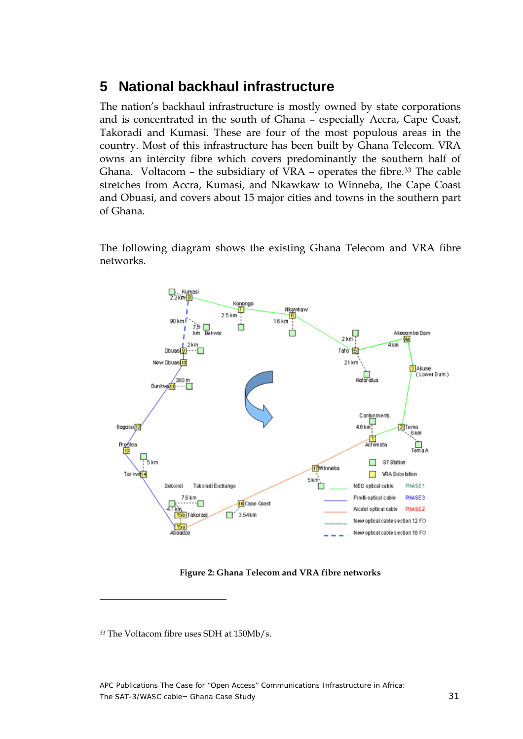### <span id="page-31-0"></span>**5 National backhaul infrastructure**

The nation's backhaul infrastructure is mostly owned by state corporations and is concentrated in the south of Ghana – especially Accra, Cape Coast, Takoradi and Kumasi. These are four of the most populous areas in the country. Most of this infrastructure has been built by Ghana Telecom. VRA owns an intercity fibre which covers predominantly the southern half of Ghana. Voltacom - the subsidiary of VRA - operates the fibre.<sup>[33](#page-31-1)</sup> The cable stretches from Accra, Kumasi, and Nkawkaw to Winneba, the Cape Coast and Obuasi, and covers about 15 major cities and towns in the southern part of Ghana.

The following diagram shows the existing Ghana Telecom and VRA fibre networks.



**Figure 2: Ghana Telecom and VRA fibre networks** 

<span id="page-31-1"></span><sup>33</sup> The Voltacom fibre uses SDH at 150Mb/s.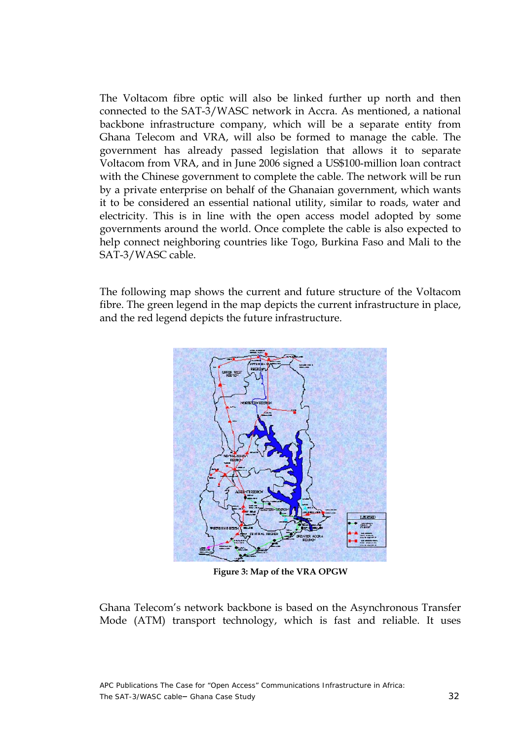<span id="page-32-0"></span>The Voltacom fibre optic will also be linked further up north and then connected to the SAT-3/WASC network in Accra. As mentioned, a national backbone infrastructure company, which will be a separate entity from Ghana Telecom and VRA, will also be formed to manage the cable. The government has already passed legislation that allows it to separate Voltacom from VRA, and in June 2006 signed a US\$100-million loan contract with the Chinese government to complete the cable. The network will be run by a private enterprise on behalf of the Ghanaian government, which wants it to be considered an essential national utility, similar to roads, water and electricity. This is in line with the open access model adopted by some governments around the world. Once complete the cable is also expected to help connect neighboring countries like Togo, Burkina Faso and Mali to the SAT-3/WASC cable.

The following map shows the current and future structure of the Voltacom fibre. The green legend in the map depicts the current infrastructure in place, and the red legend depicts the future infrastructure.



**Figure 3: Map of the VRA OPGW** 

Ghana Telecom's network backbone is based on the Asynchronous Transfer Mode (ATM) transport technology, which is fast and reliable. It uses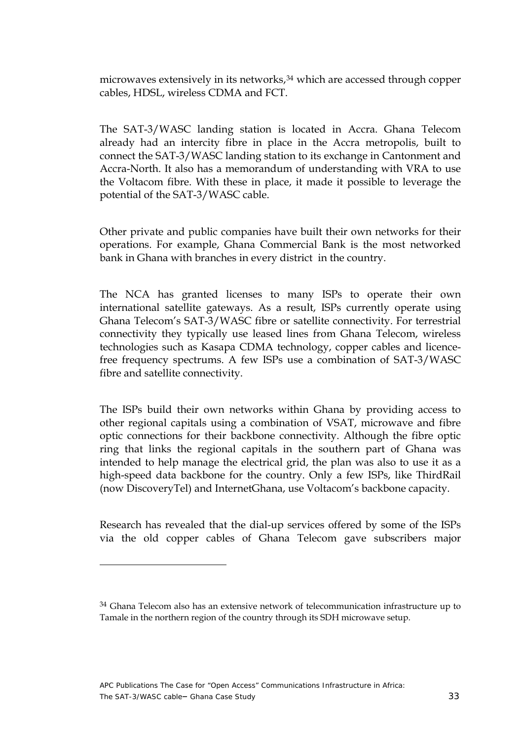microwaves extensively in its networks,<sup>[34](#page-33-0)</sup> which are accessed through copper cables, HDSL, wireless CDMA and FCT.

The SAT-3/WASC landing station is located in Accra. Ghana Telecom already had an intercity fibre in place in the Accra metropolis, built to connect the SAT-3/WASC landing station to its exchange in Cantonment and Accra-North. It also has a memorandum of understanding with VRA to use the Voltacom fibre. With these in place, it made it possible to leverage the potential of the SAT-3/WASC cable.

Other private and public companies have built their own networks for their operations. For example, Ghana Commercial Bank is the most networked bank in Ghana with branches in every district in the country.

The NCA has granted licenses to many ISPs to operate their own international satellite gateways. As a result, ISPs currently operate using Ghana Telecom's SAT-3/WASC fibre or satellite connectivity. For terrestrial connectivity they typically use leased lines from Ghana Telecom, wireless technologies such as Kasapa CDMA technology, copper cables and licencefree frequency spectrums. A few ISPs use a combination of SAT-3/WASC fibre and satellite connectivity.

The ISPs build their own networks within Ghana by providing access to other regional capitals using a combination of VSAT, microwave and fibre optic connections for their backbone connectivity. Although the fibre optic ring that links the regional capitals in the southern part of Ghana was intended to help manage the electrical grid, the plan was also to use it as a high-speed data backbone for the country. Only a few ISPs, like ThirdRail (now DiscoveryTel) and InternetGhana, use Voltacom's backbone capacity.

Research has revealed that the dial-up services offered by some of the ISPs via the old copper cables of Ghana Telecom gave subscribers major

<span id="page-33-0"></span><sup>&</sup>lt;sup>34</sup> Ghana Telecom also has an extensive network of telecommunication infrastructure up to Tamale in the northern region of the country through its SDH microwave setup.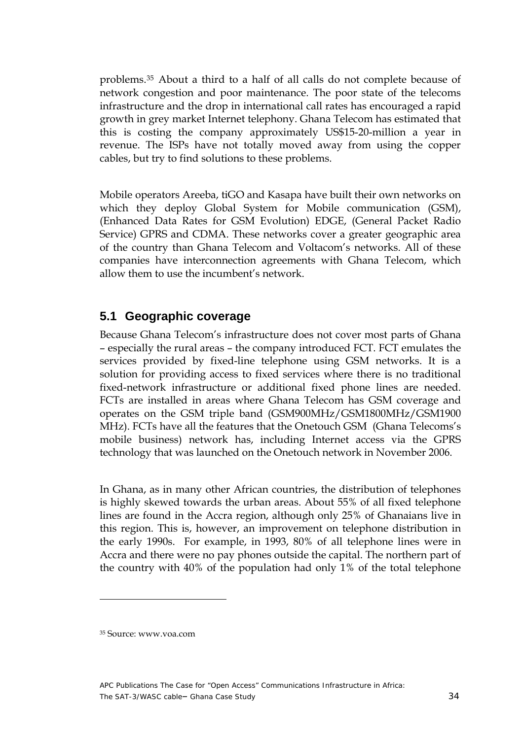<span id="page-34-0"></span>problems.[35](#page-34-1) About a third to a half of all calls do not complete because of network congestion and poor maintenance. The poor state of the telecoms infrastructure and the drop in international call rates has encouraged a rapid growth in grey market Internet telephony. Ghana Telecom has estimated that this is costing the company approximately US\$15-20-million a year in revenue. The ISPs have not totally moved away from using the copper cables, but try to find solutions to these problems.

Mobile operators Areeba, tiGO and Kasapa have built their own networks on which they deploy Global System for Mobile communication (GSM), (Enhanced Data Rates for GSM Evolution) EDGE, (General Packet Radio Service) GPRS and CDMA. These networks cover a greater geographic area of the country than Ghana Telecom and Voltacom's networks. All of these companies have interconnection agreements with Ghana Telecom, which allow them to use the incumbent's network.

#### **5.1 Geographic coverage**

Because Ghana Telecom's infrastructure does not cover most parts of Ghana – especially the rural areas – the company introduced FCT. FCT emulates the services provided by fixed-line telephone using GSM networks. It is a solution for providing access to fixed services where there is no traditional fixed-network infrastructure or additional fixed phone lines are needed. FCTs are installed in areas where Ghana Telecom has GSM coverage and operates on the GSM triple band (GSM900MHz/GSM1800MHz/GSM1900 MHz). FCTs have all the features that the Onetouch GSM (Ghana Telecoms's mobile business) network has, including Internet access via the GPRS technology that was launched on the Onetouch network in November 2006.

In Ghana, as in many other African countries, the distribution of telephones is highly skewed towards the urban areas. About 55% of all fixed telephone lines are found in the Accra region, although only 25% of Ghanaians live in this region. This is, however, an improvement on telephone distribution in the early 1990s. For example, in 1993, 80% of all telephone lines were in Accra and there were no pay phones outside the capital. The northern part of the country with 40% of the population had only 1% of the total telephone

<span id="page-34-1"></span><sup>35</sup> Source: www.voa.com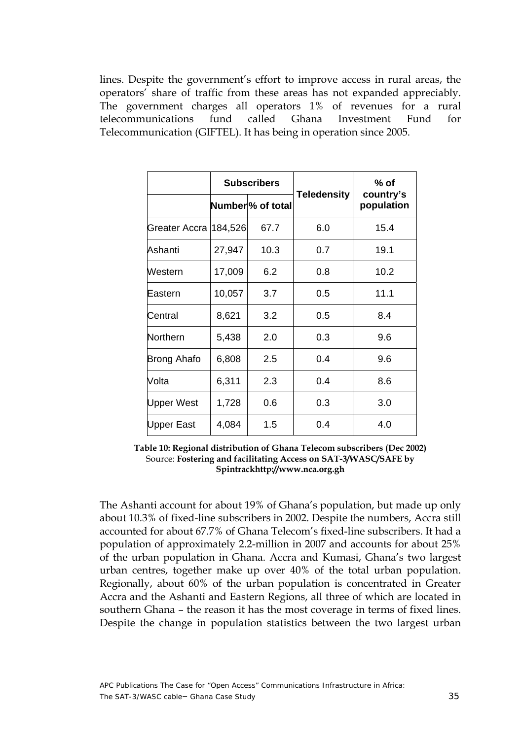<span id="page-35-0"></span>lines. Despite the government's effort to improve access in rural areas, the operators' share of traffic from these areas has not expanded appreciably. The government charges all operators 1% of revenues for a rural telecommunications fund called Ghana Investment Fund for Telecommunication (GIFTEL). It has being in operation since 2005.

|               | <b>Subscribers</b> |                                |                    | % of                    |
|---------------|--------------------|--------------------------------|--------------------|-------------------------|
|               |                    | Number <sup>9</sup> % of total | <b>Teledensity</b> | country's<br>population |
| Greater Accra | 184,526            | 67.7                           | 6.0                | 15.4                    |
| Ashanti       | 27,947             | 10.3                           | 0.7                | 19.1                    |
| Western       | 17,009             | 6.2                            | 0.8                | 10.2                    |
| Eastern       | 10,057             | 3.7                            | 0.5                | 11.1                    |
| Central       | 8,621              | 3.2                            | 0.5                | 8.4                     |
| Northern      | 5,438              | 2.0                            | 0.3                | 9.6                     |
| Brong Ahafo   | 6,808              | 2.5                            | 0.4                | 9.6                     |
| Volta         | 6,311              | 2.3                            | 0.4                | 8.6                     |
| Upper West    | 1,728              | 0.6                            | 0.3                | 3.0                     |
| Upper East    | 4,084              | 1.5                            | 0.4                | 4.0                     |

**Table 10: Regional distribution of Ghana Telecom subscribers (Dec 2002)**  Source: **Fostering and facilitating Access on SAT-3/WASC/SAFE by Spintrac[khttp://www.nca.org.gh](http://www.nca.org.gh)**

The Ashanti account for about 19% of Ghana's population, but made up only about 10.3% of fixed-line subscribers in 2002. Despite the numbers, Accra still accounted for about 67.7% of Ghana Telecom's fixed-line subscribers. It had a population of approximately 2.2-million in 2007 and accounts for about 25% of the urban population in Ghana. Accra and Kumasi, Ghana's two largest urban centres, together make up over 40% of the total urban population. Regionally, about 60% of the urban population is concentrated in Greater Accra and the Ashanti and Eastern Regions, all three of which are located in southern Ghana – the reason it has the most coverage in terms of fixed lines. Despite the change in population statistics between the two largest urban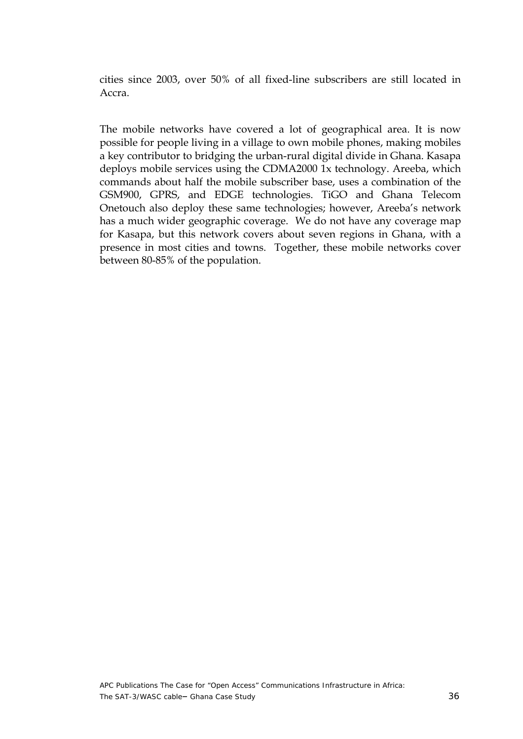cities since 2003, over 50% of all fixed-line subscribers are still located in Accra.

The mobile networks have covered a lot of geographical area. It is now possible for people living in a village to own mobile phones, making mobiles a key contributor to bridging the urban-rural digital divide in Ghana. Kasapa deploys mobile services using the CDMA2000 1x technology. Areeba, which commands about half the mobile subscriber base, uses a combination of the GSM900, GPRS, and EDGE technologies. TiGO and Ghana Telecom Onetouch also deploy these same technologies; however, Areeba's network has a much wider geographic coverage. We do not have any coverage map for Kasapa, but this network covers about seven regions in Ghana, with a presence in most cities and towns. Together, these mobile networks cover between 80-85% of the population.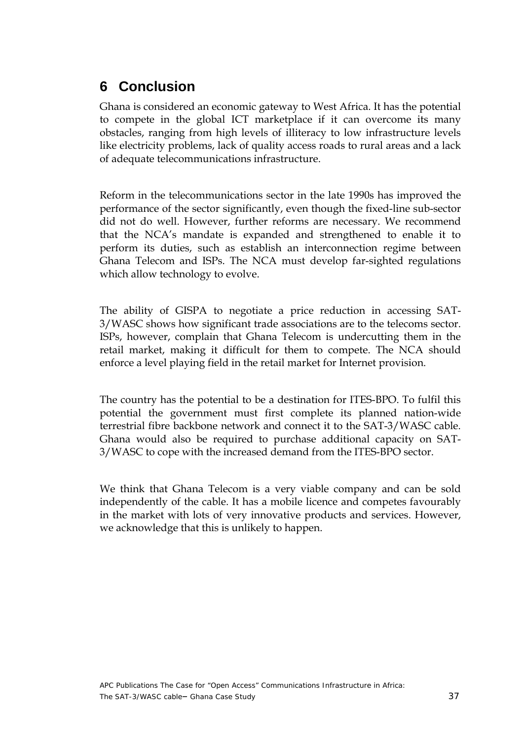## <span id="page-37-0"></span>**6 Conclusion**

Ghana is considered an economic gateway to West Africa. It has the potential to compete in the global ICT marketplace if it can overcome its many obstacles, ranging from high levels of illiteracy to low infrastructure levels like electricity problems, lack of quality access roads to rural areas and a lack of adequate telecommunications infrastructure.

Reform in the telecommunications sector in the late 1990s has improved the performance of the sector significantly, even though the fixed-line sub-sector did not do well. However, further reforms are necessary. We recommend that the NCA's mandate is expanded and strengthened to enable it to perform its duties, such as establish an interconnection regime between Ghana Telecom and ISPs. The NCA must develop far-sighted regulations which allow technology to evolve.

The ability of GISPA to negotiate a price reduction in accessing SAT-3/WASC shows how significant trade associations are to the telecoms sector. ISPs, however, complain that Ghana Telecom is undercutting them in the retail market, making it difficult for them to compete. The NCA should enforce a level playing field in the retail market for Internet provision.

The country has the potential to be a destination for ITES-BPO. To fulfil this potential the government must first complete its planned nation-wide terrestrial fibre backbone network and connect it to the SAT-3/WASC cable. Ghana would also be required to purchase additional capacity on SAT-3/WASC to cope with the increased demand from the ITES-BPO sector.

We think that Ghana Telecom is a very viable company and can be sold independently of the cable. It has a mobile licence and competes favourably in the market with lots of very innovative products and services. However, we acknowledge that this is unlikely to happen.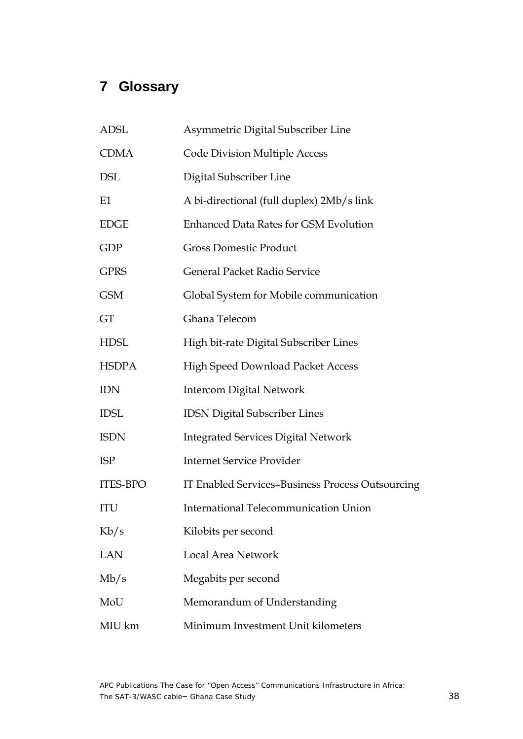# <span id="page-38-0"></span>**7 Glossary**

| <b>ADSL</b>     | Asymmetric Digital Subscriber Line               |
|-----------------|--------------------------------------------------|
| <b>CDMA</b>     | <b>Code Division Multiple Access</b>             |
| <b>DSL</b>      | Digital Subscriber Line                          |
| E1              | A bi-directional (full duplex) 2Mb/s link        |
| <b>EDGE</b>     | <b>Enhanced Data Rates for GSM Evolution</b>     |
| <b>GDP</b>      | <b>Gross Domestic Product</b>                    |
| <b>GPRS</b>     | General Packet Radio Service                     |
| <b>GSM</b>      | Global System for Mobile communication           |
| GT              | Ghana Telecom                                    |
| <b>HDSL</b>     | High bit-rate Digital Subscriber Lines           |
| <b>HSDPA</b>    | High Speed Download Packet Access                |
| <b>IDN</b>      | <b>Intercom Digital Network</b>                  |
| <b>IDSL</b>     | <b>IDSN Digital Subscriber Lines</b>             |
| <b>ISDN</b>     | <b>Integrated Services Digital Network</b>       |
| <b>ISP</b>      | <b>Internet Service Provider</b>                 |
| <b>ITES-BPO</b> | IT Enabled Services-Business Process Outsourcing |
| <b>ITU</b>      | <b>International Telecommunication Union</b>     |
| Kb/s            | Kilobits per second                              |
| LAN             | Local Area Network                               |
| Mb/s            | Megabits per second                              |
| MoU             | Memorandum of Understanding                      |
| MIU km          | Minimum Investment Unit kilometers               |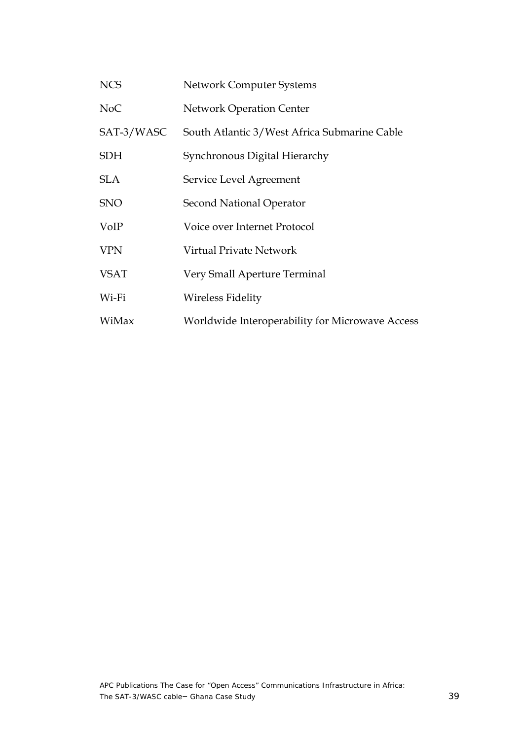| <b>NCS</b>       | <b>Network Computer Systems</b>                 |
|------------------|-------------------------------------------------|
| N <sub>o</sub> C | <b>Network Operation Center</b>                 |
| SAT-3/WASC       | South Atlantic 3/West Africa Submarine Cable    |
| <b>SDH</b>       | Synchronous Digital Hierarchy                   |
| <b>SLA</b>       | Service Level Agreement                         |
| <b>SNO</b>       | <b>Second National Operator</b>                 |
| VoIP             | Voice over Internet Protocol                    |
| <b>VPN</b>       | Virtual Private Network                         |
| <b>VSAT</b>      | Very Small Aperture Terminal                    |
| Wi-Fi            | <b>Wireless Fidelity</b>                        |
| WiMax            | Worldwide Interoperability for Microwave Access |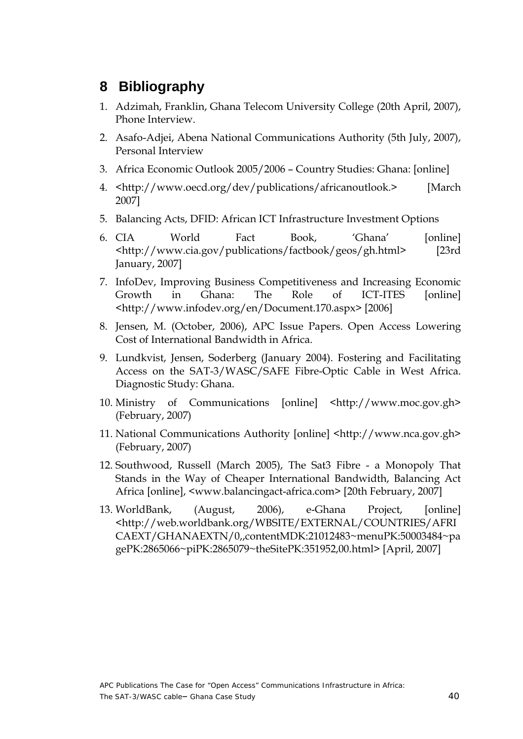### <span id="page-40-0"></span>**8 Bibliography**

- 1. Adzimah, Franklin, Ghana Telecom University College (20th April, 2007), Phone Interview.
- 2. Asafo-Adjei, Abena National Communications Authority (5th July, 2007), Personal Interview
- 3. Africa Economic Outlook 2005/2006 Country Studies: Ghana: [online]
- 4. <http://www.oecd.org/dev/publications/africanoutlook.> [March 2007]
- 5. Balancing Acts, DFID: African ICT Infrastructure Investment Options
- 6. CIA World Fact Book, 'Ghana' [online] <http://www.cia.gov/publications/factbook/geos/gh.html> [23rd January, 2007]
- 7. InfoDev, Improving Business Competitiveness and Increasing Economic Growth in Ghana: The Role of ICT-ITES [online] <http://www.infodev.org/en/Document.170.aspx> [2006]
- 8. Jensen, M. (October, 2006), APC Issue Papers. Open Access Lowering Cost of International Bandwidth in Africa.
- 9. Lundkvist, Jensen, Soderberg (January 2004). Fostering and Facilitating Access on the SAT-3/WASC/SAFE Fibre-Optic Cable in West Africa. Diagnostic Study: Ghana.
- 10. Ministry of Communications [online] <http://www.moc.gov.gh> (February, 2007)
- 11. National Communications Authority [online] <http://www.nca.gov.gh> (February, 2007)
- 12. Southwood, Russell (March 2005), The Sat3 Fibre a Monopoly That Stands in the Way of Cheaper International Bandwidth, Balancing Act Africa [online], <www.balancingact-africa.com> [20th February, 2007]
- 13. WorldBank, (August, 2006), e-Ghana Project, [online] <http://web.worldbank.org/WBSITE/EXTERNAL/COUNTRIES/AFRI CAEXT/GHANAEXTN/0,,contentMDK:21012483~menuPK:50003484~pa gePK:2865066~piPK:2865079~theSitePK:351952,00.html> [April, 2007]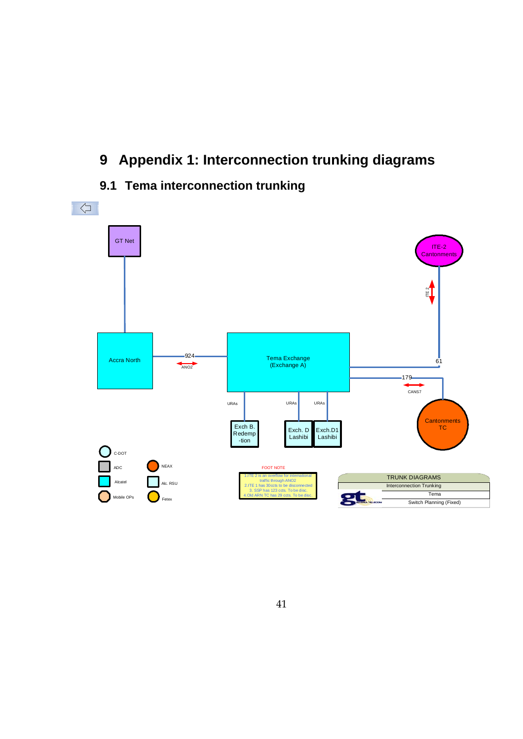# <span id="page-41-0"></span>**9 Appendix 1: Interconnection trunking diagrams**

### **9.1 Tema interconnection trunking**

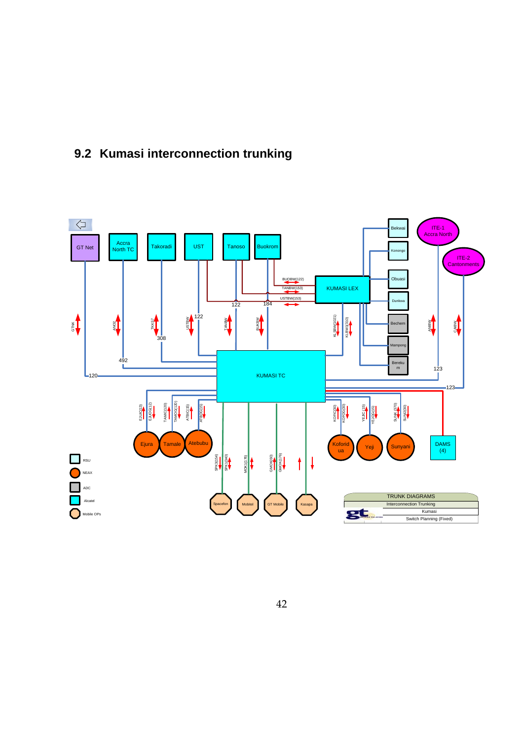<span id="page-42-0"></span>